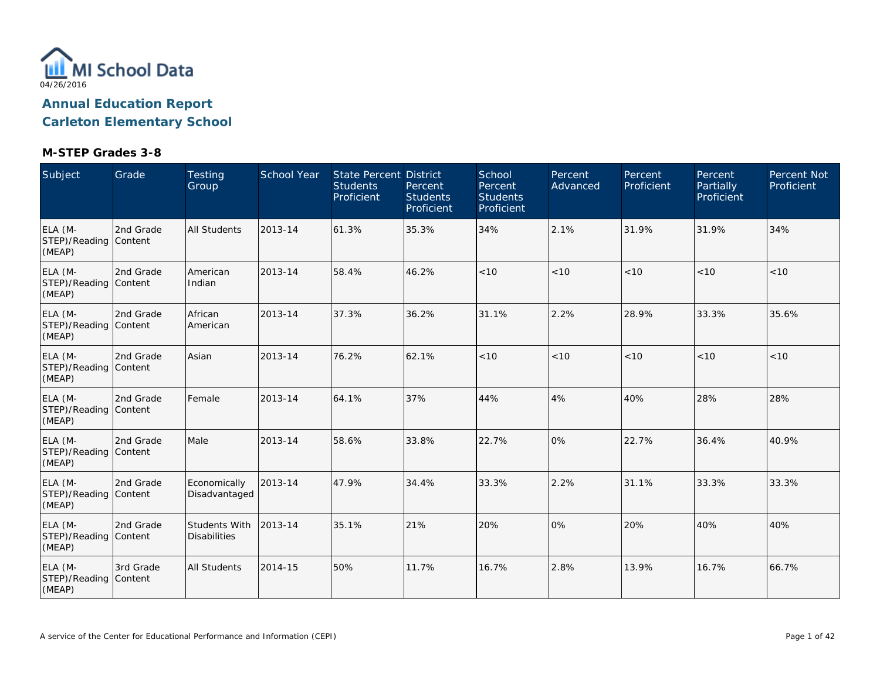

| Subject                                    | Grade     | <b>Testing</b><br>Group              | <b>School Year</b> | <b>State Percent District</b><br><b>Students</b><br>Proficient | Percent<br><b>Students</b><br>Proficient | School<br>Percent<br><b>Students</b><br>Proficient | Percent<br>Advanced | Percent<br>Proficient | Percent<br>Partially<br>Proficient | <b>Percent Not</b><br>Proficient |
|--------------------------------------------|-----------|--------------------------------------|--------------------|----------------------------------------------------------------|------------------------------------------|----------------------------------------------------|---------------------|-----------------------|------------------------------------|----------------------------------|
| ELA (M-<br>STEP)/Reading Content<br>(MEAP) | 2nd Grade | <b>All Students</b>                  | 2013-14            | 61.3%                                                          | 35.3%                                    | 34%                                                | 2.1%                | 31.9%                 | 31.9%                              | 34%                              |
| ELA (M-<br>STEP)/Reading Content<br>(MEAP) | 2nd Grade | American<br>Indian                   | 2013-14            | 58.4%                                                          | 46.2%                                    | < 10                                               | < 10                | < 10                  | < 10                               | < 10                             |
| ELA (M-<br>STEP)/Reading Content<br>(MEAP) | 2nd Grade | African<br>American                  | 2013-14            | 37.3%                                                          | 36.2%                                    | 31.1%                                              | 2.2%                | 28.9%                 | 33.3%                              | 35.6%                            |
| ELA (M-<br>STEP)/Reading Content<br>(MEAP) | 2nd Grade | Asian                                | 2013-14            | 76.2%                                                          | 62.1%                                    | < 10                                               | < 10                | < 10                  | < 10                               | $<10$                            |
| ELA (M-<br>STEP)/Reading Content<br>(MEAP) | 2nd Grade | Female                               | 2013-14            | 64.1%                                                          | 37%                                      | 44%                                                | 4%                  | 40%                   | 28%                                | 28%                              |
| ELA (M-<br>STEP)/Reading Content<br>(MEAP) | 2nd Grade | Male                                 | 2013-14            | 58.6%                                                          | 33.8%                                    | 22.7%                                              | 0%                  | 22.7%                 | 36.4%                              | 40.9%                            |
| ELA (M-<br>STEP)/Reading Content<br>(MEAP) | 2nd Grade | Economically<br>Disadvantaged        | 2013-14            | 47.9%                                                          | 34.4%                                    | 33.3%                                              | 2.2%                | 31.1%                 | 33.3%                              | 33.3%                            |
| ELA (M-<br>STEP)/Reading Content<br>(MEAP) | 2nd Grade | Students With<br><b>Disabilities</b> | 2013-14            | 35.1%                                                          | 21%                                      | 20%                                                | 0%                  | 20%                   | 40%                                | 40%                              |
| ELA (M-<br>STEP)/Reading Content<br>(MEAP) | 3rd Grade | <b>All Students</b>                  | 2014-15            | 50%                                                            | 11.7%                                    | 16.7%                                              | 2.8%                | 13.9%                 | 16.7%                              | 66.7%                            |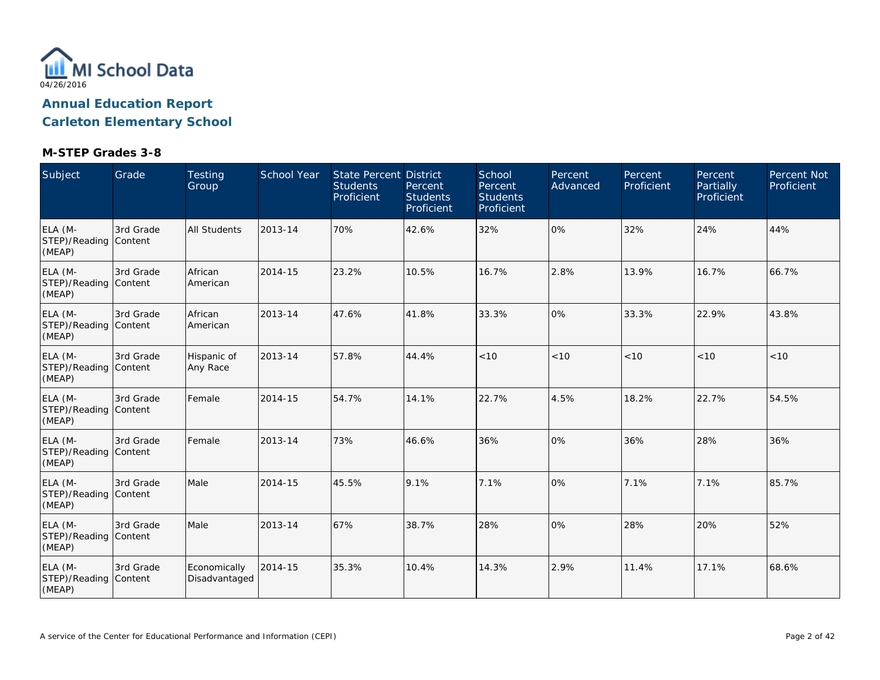

| Subject                                    | Grade     | <b>Testing</b><br>Group       | <b>School Year</b> | <b>State Percent District</b><br><b>Students</b><br>Proficient | Percent<br><b>Students</b><br>Proficient | School<br>Percent<br><b>Students</b><br>Proficient | Percent<br>Advanced | Percent<br>Proficient | Percent<br><b>Partially</b><br>Proficient | <b>Percent Not</b><br>Proficient |
|--------------------------------------------|-----------|-------------------------------|--------------------|----------------------------------------------------------------|------------------------------------------|----------------------------------------------------|---------------------|-----------------------|-------------------------------------------|----------------------------------|
| ELA (M-<br>STEP)/Reading Content<br>(MEAP) | 3rd Grade | <b>All Students</b>           | 2013-14            | 70%                                                            | 42.6%                                    | 32%                                                | 0%                  | 32%                   | 24%                                       | 44%                              |
| ELA (M-<br>STEP)/Reading Content<br>(MEAP) | 3rd Grade | African<br>American           | 2014-15            | 23.2%                                                          | 10.5%                                    | 16.7%                                              | 2.8%                | 13.9%                 | 16.7%                                     | 66.7%                            |
| ELA (M-<br>STEP)/Reading Content<br>(MEAP) | 3rd Grade | African<br>American           | 2013-14            | 47.6%                                                          | 41.8%                                    | 33.3%                                              | 0%                  | 33.3%                 | 22.9%                                     | 43.8%                            |
| ELA (M-<br>STEP)/Reading Content<br>(MEAP) | 3rd Grade | Hispanic of<br>Any Race       | 2013-14            | 57.8%                                                          | 44.4%                                    | < 10                                               | < 10                | < 10                  | < 10                                      | < 10                             |
| ELA (M-<br>STEP)/Reading Content<br>(MEAP) | 3rd Grade | Female                        | 2014-15            | 54.7%                                                          | 14.1%                                    | 22.7%                                              | 4.5%                | 18.2%                 | 22.7%                                     | 54.5%                            |
| ELA (M-<br>STEP)/Reading Content<br>(MEAP) | 3rd Grade | Female                        | 2013-14            | 73%                                                            | 46.6%                                    | 36%                                                | 0%                  | 36%                   | 28%                                       | 36%                              |
| ELA (M-<br>STEP)/Reading Content<br>(MEAP) | 3rd Grade | Male                          | 2014-15            | 45.5%                                                          | 9.1%                                     | 7.1%                                               | 0%                  | 7.1%                  | 7.1%                                      | 85.7%                            |
| ELA (M-<br>STEP)/Reading Content<br>(MEAP) | 3rd Grade | Male                          | 2013-14            | 67%                                                            | 38.7%                                    | 28%                                                | 0%                  | 28%                   | 20%                                       | 52%                              |
| ELA (M-<br>STEP)/Reading Content<br>(MEAP) | 3rd Grade | Economically<br>Disadvantaged | 2014-15            | 35.3%                                                          | 10.4%                                    | 14.3%                                              | 2.9%                | 11.4%                 | 17.1%                                     | 68.6%                            |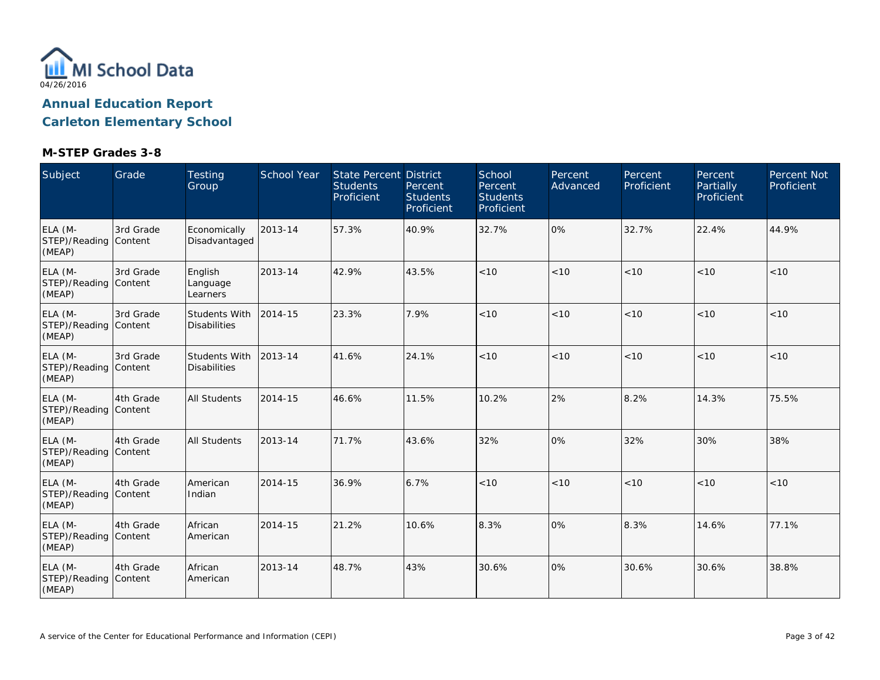

| Subject                                    | Grade     | <b>Testing</b><br>Group              | School Year | <b>State Percent District</b><br><b>Students</b><br>Proficient | Percent<br><b>Students</b><br>Proficient | School<br>Percent<br><b>Students</b><br>Proficient | Percent<br>Advanced | Percent<br>Proficient | Percent<br><b>Partially</b><br>Proficient | <b>Percent Not</b><br>Proficient |
|--------------------------------------------|-----------|--------------------------------------|-------------|----------------------------------------------------------------|------------------------------------------|----------------------------------------------------|---------------------|-----------------------|-------------------------------------------|----------------------------------|
| ELA (M-<br>STEP)/Reading Content<br>(MEAP) | 3rd Grade | Economically<br>Disadvantaged        | 2013-14     | 57.3%                                                          | 40.9%                                    | 32.7%                                              | 0%                  | 32.7%                 | 22.4%                                     | 44.9%                            |
| ELA (M-<br>STEP)/Reading Content<br>(MEAP) | 3rd Grade | English<br>Language<br>Learners      | 2013-14     | 42.9%                                                          | 43.5%                                    | < 10                                               | < 10                | < 10                  | < 10                                      | < 10                             |
| ELA (M-<br>STEP)/Reading Content<br>(MEAP) | 3rd Grade | Students With<br><b>Disabilities</b> | 2014-15     | 23.3%                                                          | 7.9%                                     | < 10                                               | < 10                | < 10                  | < 10                                      | < 10                             |
| ELA (M-<br>STEP)/Reading Content<br>(MEAP) | 3rd Grade | Students With<br><b>Disabilities</b> | 2013-14     | 41.6%                                                          | 24.1%                                    | < 10                                               | < 10                | < 10                  | < 10                                      | < 10                             |
| ELA (M-<br>STEP)/Reading Content<br>(MEAP) | 4th Grade | <b>All Students</b>                  | 2014-15     | 46.6%                                                          | 11.5%                                    | 10.2%                                              | 2%                  | 8.2%                  | 14.3%                                     | 75.5%                            |
| ELA (M-<br>STEP)/Reading Content<br>(MEAP) | 4th Grade | <b>All Students</b>                  | 2013-14     | 71.7%                                                          | 43.6%                                    | 32%                                                | 0%                  | 32%                   | 30%                                       | 38%                              |
| ELA (M-<br>STEP)/Reading Content<br>(MEAP) | 4th Grade | American<br>Indian                   | 2014-15     | 36.9%                                                          | 6.7%                                     | $<10$                                              | $<10$               | < 10                  | < 10                                      | $<10$                            |
| ELA (M-<br>STEP)/Reading Content<br>(MEAP) | 4th Grade | African<br>American                  | 2014-15     | 21.2%                                                          | 10.6%                                    | 8.3%                                               | 0%                  | 8.3%                  | 14.6%                                     | 77.1%                            |
| ELA (M-<br>STEP)/Reading Content<br>(MEAP) | 4th Grade | African<br>American                  | 2013-14     | 48.7%                                                          | 43%                                      | 30.6%                                              | 0%                  | 30.6%                 | 30.6%                                     | 38.8%                            |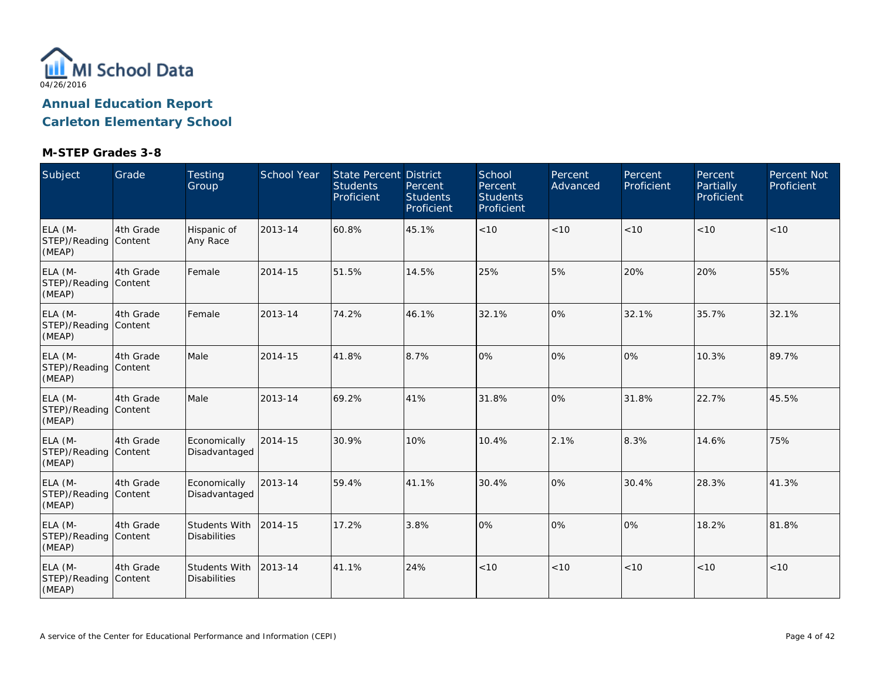

| Subject                                    | Grade     | <b>Testing</b><br>Group                     | School Year | State Percent District<br><b>Students</b><br>Proficient | Percent<br><b>Students</b><br>Proficient | School<br>Percent<br><b>Students</b><br>Proficient | Percent<br>Advanced | Percent<br>Proficient | Percent<br>Partially<br>Proficient | <b>Percent Not</b><br>Proficient |
|--------------------------------------------|-----------|---------------------------------------------|-------------|---------------------------------------------------------|------------------------------------------|----------------------------------------------------|---------------------|-----------------------|------------------------------------|----------------------------------|
| ELA (M-<br>STEP)/Reading Content<br>(MEAP) | 4th Grade | Hispanic of<br>Any Race                     | 2013-14     | 60.8%                                                   | 45.1%                                    | < 10                                               | < 10                | < 10                  | < 10                               | <10                              |
| ELA (M-<br>STEP)/Reading Content<br>(MEAP) | 4th Grade | Female                                      | 2014-15     | 51.5%                                                   | 14.5%                                    | 25%                                                | 5%                  | 20%                   | 20%                                | 55%                              |
| ELA (M-<br>STEP)/Reading Content<br>(MEAP) | 4th Grade | Female                                      | 2013-14     | 74.2%                                                   | 46.1%                                    | 32.1%                                              | 0%                  | 32.1%                 | 35.7%                              | 32.1%                            |
| ELA (M-<br>STEP)/Reading Content<br>(MEAP) | 4th Grade | Male                                        | 2014-15     | 41.8%                                                   | 8.7%                                     | 0%                                                 | 0%                  | 0%                    | 10.3%                              | 89.7%                            |
| ELA (M-<br>STEP)/Reading Content<br>(MEAP) | 4th Grade | Male                                        | 2013-14     | 69.2%                                                   | 41%                                      | 31.8%                                              | 0%                  | 31.8%                 | 22.7%                              | 45.5%                            |
| ELA (M-<br>STEP)/Reading Content<br>(MEAP) | 4th Grade | Economically<br>Disadvantaged               | 2014-15     | 30.9%                                                   | 10%                                      | 10.4%                                              | 2.1%                | 8.3%                  | 14.6%                              | 75%                              |
| ELA (M-<br>STEP)/Reading Content<br>(MEAP) | 4th Grade | Economically<br>Disadvantaged               | 2013-14     | 59.4%                                                   | 41.1%                                    | 30.4%                                              | 0%                  | 30.4%                 | 28.3%                              | 41.3%                            |
| ELA (M-<br>STEP)/Reading Content<br>(MEAP) | 4th Grade | <b>Students With</b><br><b>Disabilities</b> | 2014-15     | 17.2%                                                   | 3.8%                                     | 0%                                                 | 0%                  | 10%                   | 18.2%                              | 81.8%                            |
| ELA (M-<br>STEP)/Reading Content<br>(MEAP) | 4th Grade | Students With<br><b>Disabilities</b>        | 2013-14     | 41.1%                                                   | 24%                                      | < 10                                               | < 10                | < 10                  | < 10                               | < 10                             |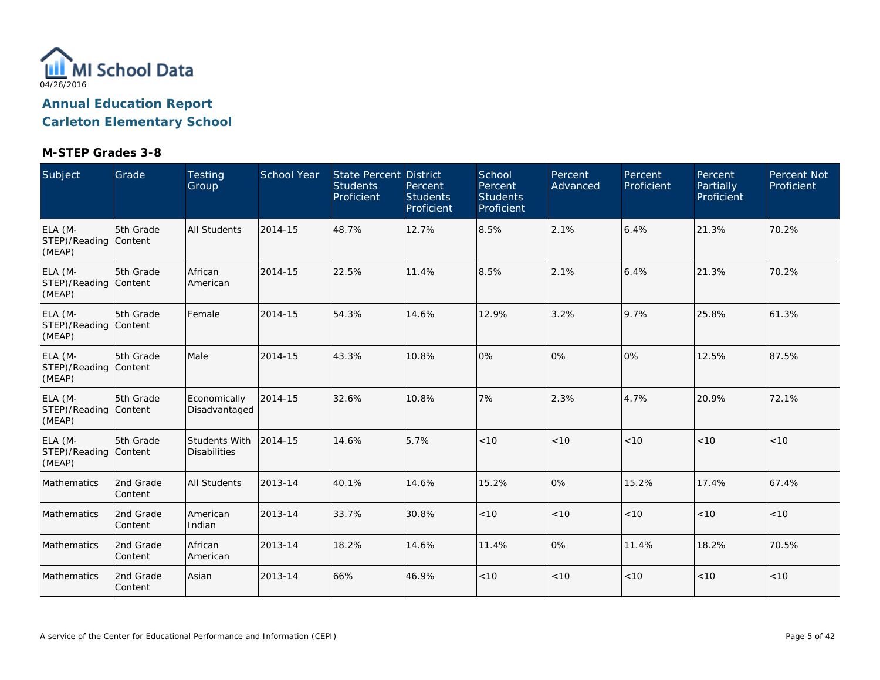

| Subject                                    | Grade                | Testing<br>Group                     | <b>School Year</b> | <b>State Percent District</b><br><b>Students</b><br>Proficient | Percent<br><b>Students</b><br>Proficient | School<br>Percent<br><b>Students</b><br>Proficient | Percent<br>Advanced | Percent<br>Proficient | Percent<br>Partially<br>Proficient | Percent Not<br>Proficient |
|--------------------------------------------|----------------------|--------------------------------------|--------------------|----------------------------------------------------------------|------------------------------------------|----------------------------------------------------|---------------------|-----------------------|------------------------------------|---------------------------|
| ELA (M-<br>STEP)/Reading Content<br>(MEAP) | 5th Grade            | All Students                         | 2014-15            | 48.7%                                                          | 12.7%                                    | 8.5%                                               | 2.1%                | 6.4%                  | 21.3%                              | 70.2%                     |
| ELA (M-<br>STEP)/Reading Content<br>(MEAP) | 5th Grade            | African<br>American                  | 2014-15            | 22.5%                                                          | 11.4%                                    | 8.5%                                               | 2.1%                | 6.4%                  | 21.3%                              | 70.2%                     |
| ELA (M-<br>STEP)/Reading Content<br>(MEAP) | 5th Grade            | Female                               | 2014-15            | 54.3%                                                          | 14.6%                                    | 12.9%                                              | 3.2%                | 9.7%                  | 25.8%                              | 61.3%                     |
| ELA (M-<br>STEP)/Reading Content<br>(MEAP) | 5th Grade            | Male                                 | 2014-15            | 43.3%                                                          | 10.8%                                    | 0%                                                 | 0%                  | 0%                    | 12.5%                              | 87.5%                     |
| ELA (M-<br>STEP)/Reading Content<br>(MEAP) | 5th Grade            | Economically<br>Disadvantaged        | 2014-15            | 32.6%                                                          | 10.8%                                    | 7%                                                 | 2.3%                | 4.7%                  | 20.9%                              | 72.1%                     |
| ELA (M-<br>STEP)/Reading Content<br>(MEAP) | 5th Grade            | Students With<br><b>Disabilities</b> | 2014-15            | 14.6%                                                          | 5.7%                                     | < 10                                               | < 10                | < 10                  | < 10                               | < 10                      |
| Mathematics                                | 2nd Grade<br>Content | <b>All Students</b>                  | 2013-14            | 40.1%                                                          | 14.6%                                    | 15.2%                                              | 0%                  | 15.2%                 | 17.4%                              | 67.4%                     |
| Mathematics                                | 2nd Grade<br>Content | American<br>Indian                   | 2013-14            | 33.7%                                                          | 30.8%                                    | < 10                                               | < 10                | < 10                  | < 10                               | $<10$                     |
| Mathematics                                | 2nd Grade<br>Content | African<br>American                  | 2013-14            | 18.2%                                                          | 14.6%                                    | 11.4%                                              | 0%                  | 11.4%                 | 18.2%                              | 70.5%                     |
| Mathematics                                | 2nd Grade<br>Content | Asian                                | 2013-14            | 66%                                                            | 46.9%                                    | < 10                                               | < 10                | < 10                  | < 10                               | < 10                      |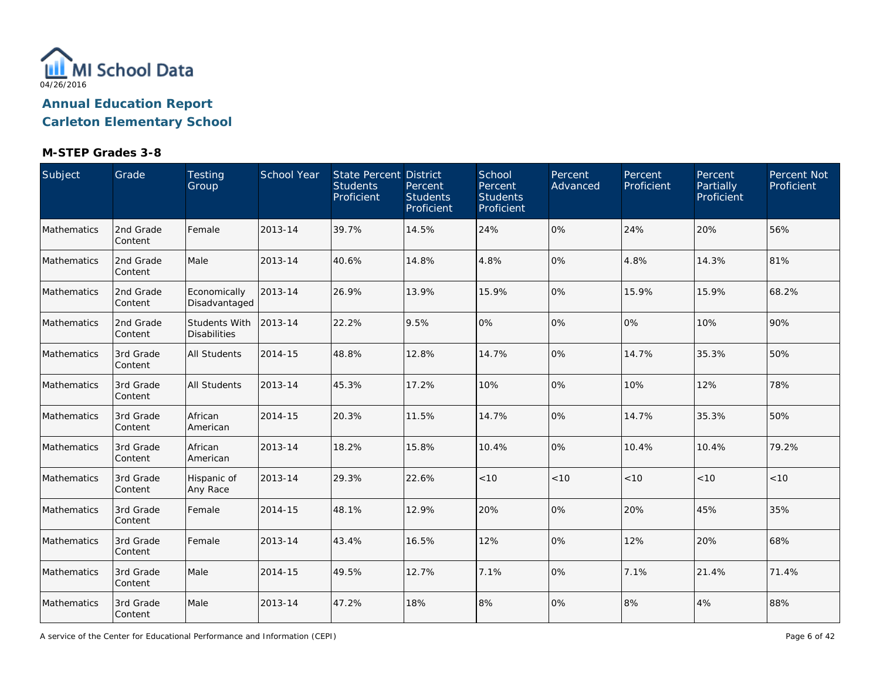

### **M-STEP Grades 3-8**

| Subject     | Grade                | Testing<br>Group                     | School Year | State Percent District<br><b>Students</b><br>Proficient | Percent<br><b>Students</b><br>Proficient | School<br>Percent<br><b>Students</b><br>Proficient | Percent<br>Advanced | Percent<br>Proficient | Percent<br>Partially<br>Proficient | Percent Not<br>Proficient |
|-------------|----------------------|--------------------------------------|-------------|---------------------------------------------------------|------------------------------------------|----------------------------------------------------|---------------------|-----------------------|------------------------------------|---------------------------|
| Mathematics | 2nd Grade<br>Content | Female                               | 2013-14     | 39.7%                                                   | 14.5%                                    | 24%                                                | 0%                  | 24%                   | 20%                                | 56%                       |
| Mathematics | 2nd Grade<br>Content | Male                                 | 2013-14     | 40.6%                                                   | 14.8%                                    | 4.8%                                               | 0%                  | 4.8%                  | 14.3%                              | 81%                       |
| Mathematics | 2nd Grade<br>Content | Economically<br>Disadvantaged        | 2013-14     | 26.9%                                                   | 13.9%                                    | 15.9%                                              | 0%                  | 15.9%                 | 15.9%                              | 68.2%                     |
| Mathematics | 2nd Grade<br>Content | Students With<br><b>Disabilities</b> | 2013-14     | 22.2%                                                   | 9.5%                                     | 0%                                                 | 0%                  | 0%                    | 10%                                | 90%                       |
| Mathematics | 3rd Grade<br>Content | All Students                         | 2014-15     | 48.8%                                                   | 12.8%                                    | 14.7%                                              | 0%                  | 14.7%                 | 35.3%                              | 50%                       |
| Mathematics | 3rd Grade<br>Content | <b>All Students</b>                  | 2013-14     | 45.3%                                                   | 17.2%                                    | 10%                                                | 0%                  | 10%                   | 12%                                | 78%                       |
| Mathematics | 3rd Grade<br>Content | African<br>American                  | 2014-15     | 20.3%                                                   | 11.5%                                    | 14.7%                                              | 0%                  | 14.7%                 | 35.3%                              | 50%                       |
| Mathematics | 3rd Grade<br>Content | African<br>American                  | 2013-14     | 18.2%                                                   | 15.8%                                    | 10.4%                                              | 0%                  | 10.4%                 | 10.4%                              | 79.2%                     |
| Mathematics | 3rd Grade<br>Content | Hispanic of<br>Any Race              | 2013-14     | 29.3%                                                   | 22.6%                                    | < 10                                               | < 10                | < 10                  | < 10                               | < 10                      |
| Mathematics | 3rd Grade<br>Content | Female                               | 2014-15     | 48.1%                                                   | 12.9%                                    | 20%                                                | 0%                  | 20%                   | 45%                                | 35%                       |
| Mathematics | 3rd Grade<br>Content | Female                               | 2013-14     | 43.4%                                                   | 16.5%                                    | 12%                                                | 0%                  | 12%                   | 20%                                | 68%                       |
| Mathematics | 3rd Grade<br>Content | Male                                 | 2014-15     | 49.5%                                                   | 12.7%                                    | 7.1%                                               | 0%                  | 7.1%                  | 21.4%                              | 71.4%                     |
| Mathematics | 3rd Grade<br>Content | Male                                 | 2013-14     | 47.2%                                                   | 18%                                      | 8%                                                 | 0%                  | 8%                    | 4%                                 | 88%                       |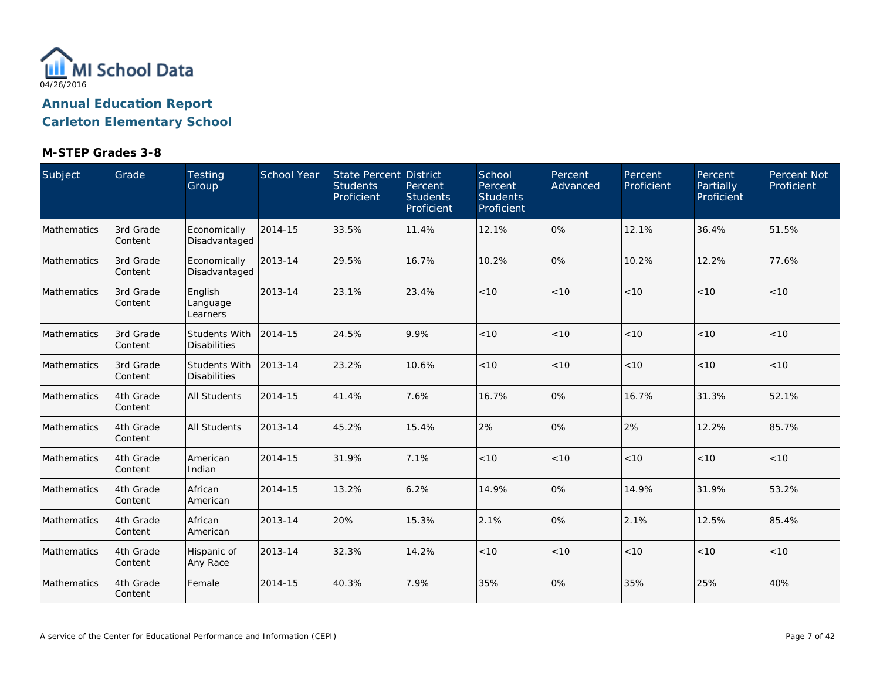

| Subject            | Grade                 | Testing<br>Group                     | <b>School Year</b> | <b>State Percent District</b><br><b>Students</b><br>Proficient | Percent<br><b>Students</b><br>Proficient | School<br>Percent<br><b>Students</b><br>Proficient | Percent<br>Advanced | Percent<br>Proficient | Percent<br>Partially<br>Proficient | Percent Not<br>Proficient |
|--------------------|-----------------------|--------------------------------------|--------------------|----------------------------------------------------------------|------------------------------------------|----------------------------------------------------|---------------------|-----------------------|------------------------------------|---------------------------|
| Mathematics        | 3rd Grade<br>Content  | Economically<br>Disadvantaged        | 2014-15            | 33.5%                                                          | 11.4%                                    | 12.1%                                              | 0%                  | 12.1%                 | 36.4%                              | 51.5%                     |
| <b>Mathematics</b> | 3rd Grade<br>Content  | Economically<br>Disadvantaged        | 2013-14            | 29.5%                                                          | 16.7%                                    | 10.2%                                              | 0%                  | 10.2%                 | 12.2%                              | 77.6%                     |
| Mathematics        | 3rd Grade<br> Content | English<br>Language<br>Learners      | 2013-14            | 23.1%                                                          | 23.4%                                    | < 10                                               | < 10                | < 10                  | < 10                               | < 10                      |
| Mathematics        | 3rd Grade<br>Content  | Students With<br><b>Disabilities</b> | 2014-15            | 24.5%                                                          | 9.9%                                     | < 10                                               | < 10                | < 10                  | < 10                               | < 10                      |
| Mathematics        | 3rd Grade<br>Content  | Students With<br><b>Disabilities</b> | 2013-14            | 23.2%                                                          | 10.6%                                    | < 10                                               | < 10                | < 10                  | < 10                               | < 10                      |
| Mathematics        | 4th Grade<br> Content | <b>All Students</b>                  | 2014-15            | 41.4%                                                          | 7.6%                                     | 16.7%                                              | 0%                  | 16.7%                 | 31.3%                              | 52.1%                     |
| Mathematics        | 4th Grade<br>Content  | <b>All Students</b>                  | 2013-14            | 45.2%                                                          | 15.4%                                    | 2%                                                 | 0%                  | 2%                    | 12.2%                              | 85.7%                     |
| Mathematics        | 4th Grade<br>Content  | American<br>Indian                   | 2014-15            | 31.9%                                                          | 7.1%                                     | < 10                                               | < 10                | < 10                  | < 10                               | < 10                      |
| Mathematics        | 4th Grade<br>Content  | African<br>American                  | 2014-15            | 13.2%                                                          | 6.2%                                     | 14.9%                                              | 0%                  | 14.9%                 | 31.9%                              | 53.2%                     |
| Mathematics        | 4th Grade<br>Content  | African<br>American                  | 2013-14            | 20%                                                            | 15.3%                                    | 2.1%                                               | 0%                  | 2.1%                  | 12.5%                              | 85.4%                     |
| Mathematics        | 4th Grade<br>Content  | Hispanic of<br>Any Race              | 2013-14            | 32.3%                                                          | 14.2%                                    | < 10                                               | < 10                | < 10                  | < 10                               | < 10                      |
| Mathematics        | 4th Grade<br>Content  | Female                               | 2014-15            | 40.3%                                                          | 7.9%                                     | 35%                                                | 0%                  | 35%                   | 25%                                | 40%                       |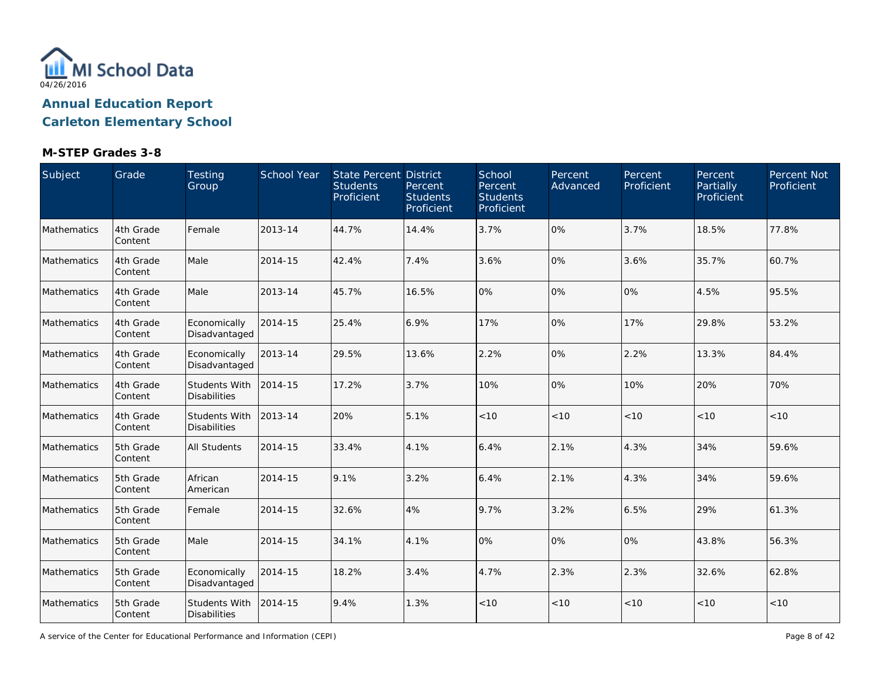

### **M-STEP Grades 3-8**

| Subject     | Grade                 | Testing<br>Group                            | School Year | <b>State Percent District</b><br><b>Students</b><br>Proficient | Percent<br><b>Students</b><br>Proficient | School<br>Percent<br><b>Students</b><br>Proficient | Percent<br>Advanced | Percent<br>Proficient | Percent<br>Partially<br>Proficient | Percent Not<br>Proficient |
|-------------|-----------------------|---------------------------------------------|-------------|----------------------------------------------------------------|------------------------------------------|----------------------------------------------------|---------------------|-----------------------|------------------------------------|---------------------------|
| Mathematics | 4th Grade<br>Content  | Female                                      | 2013-14     | 44.7%                                                          | 14.4%                                    | 3.7%                                               | 0%                  | 3.7%                  | 18.5%                              | 77.8%                     |
| Mathematics | 4th Grade<br>Content  | Male                                        | 2014-15     | 42.4%                                                          | 7.4%                                     | 3.6%                                               | 0%                  | 3.6%                  | 35.7%                              | 60.7%                     |
| Mathematics | 4th Grade<br>Content  | Male                                        | 2013-14     | 45.7%                                                          | 16.5%                                    | 0%                                                 | 0%                  | 0%                    | 4.5%                               | 95.5%                     |
| Mathematics | 4th Grade<br>Content  | Economically<br>Disadvantaged               | 2014-15     | 25.4%                                                          | 6.9%                                     | 17%                                                | 0%                  | 17%                   | 29.8%                              | 53.2%                     |
| Mathematics | 4th Grade<br>Content  | Economically<br>Disadvantaged               | 2013-14     | 29.5%                                                          | 13.6%                                    | 2.2%                                               | 0%                  | 2.2%                  | 13.3%                              | 84.4%                     |
| Mathematics | 4th Grade<br>Content  | <b>Students With</b><br><b>Disabilities</b> | 2014-15     | 17.2%                                                          | 3.7%                                     | 10%                                                | 0%                  | 10%                   | 20%                                | 70%                       |
| Mathematics | 4th Grade<br>Content  | <b>Students With</b><br><b>Disabilities</b> | 2013-14     | 20%                                                            | 5.1%                                     | < 10                                               | < 10                | < 10                  | < 10                               | < 10                      |
| Mathematics | 5th Grade<br>Content  | <b>All Students</b>                         | 2014-15     | 33.4%                                                          | 4.1%                                     | 6.4%                                               | 2.1%                | 4.3%                  | 34%                                | 59.6%                     |
| Mathematics | 5th Grade<br>Content  | African<br>American                         | 2014-15     | 9.1%                                                           | 3.2%                                     | 6.4%                                               | 2.1%                | 4.3%                  | 34%                                | 59.6%                     |
| Mathematics | 5th Grade<br>Content  | Female                                      | 2014-15     | 32.6%                                                          | 4%                                       | 9.7%                                               | 3.2%                | 6.5%                  | 29%                                | 61.3%                     |
| Mathematics | 5th Grade<br>Content  | Male                                        | 2014-15     | 34.1%                                                          | 4.1%                                     | 0%                                                 | 0%                  | 0%                    | 43.8%                              | 56.3%                     |
| Mathematics | 5th Grade<br>Content  | Economically<br>Disadvantaged               | 2014-15     | 18.2%                                                          | 3.4%                                     | 4.7%                                               | 2.3%                | 2.3%                  | 32.6%                              | 62.8%                     |
| Mathematics | 5th Grade<br> Content | Students With<br><b>Disabilities</b>        | 2014-15     | 9.4%                                                           | 1.3%                                     | < 10                                               | $<10$               | < 10                  | < 10                               | < 10                      |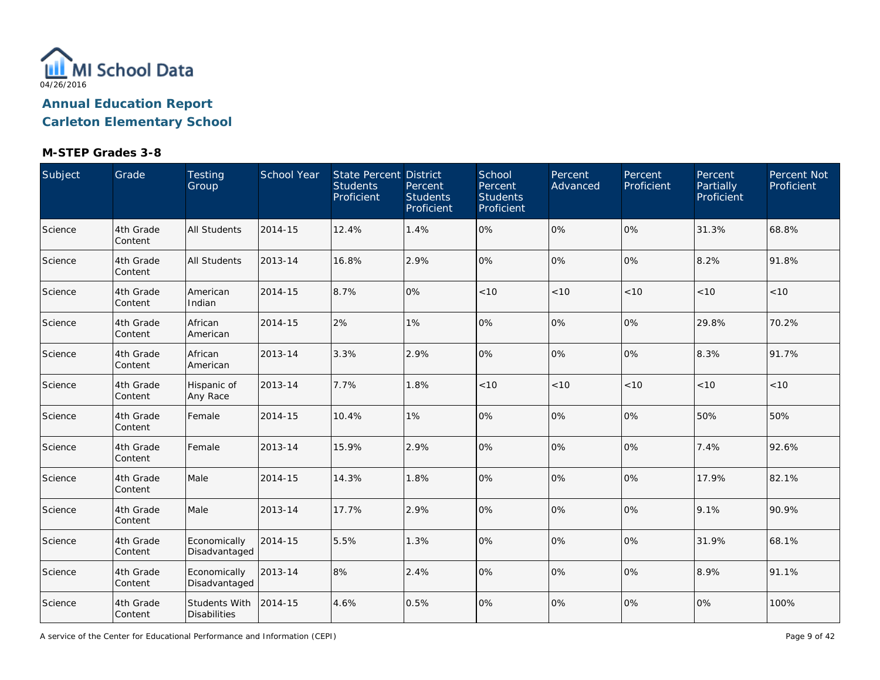

| Subject | Grade                 | Testing<br>Group                     | School Year | <b>State Percent District</b><br><b>Students</b><br>Proficient | Percent<br><b>Students</b><br>Proficient | School<br>Percent<br><b>Students</b><br>Proficient | Percent<br>Advanced | Percent<br>Proficient | Percent<br>Partially<br>Proficient | Percent Not<br>Proficient |
|---------|-----------------------|--------------------------------------|-------------|----------------------------------------------------------------|------------------------------------------|----------------------------------------------------|---------------------|-----------------------|------------------------------------|---------------------------|
| Science | 4th Grade<br>Content  | <b>All Students</b>                  | 2014-15     | 12.4%                                                          | 1.4%                                     | 0%                                                 | 0%                  | 0%                    | 31.3%                              | 68.8%                     |
| Science | 4th Grade<br>Content  | All Students                         | 2013-14     | 16.8%                                                          | 2.9%                                     | 0%                                                 | 0%                  | 0%                    | 8.2%                               | 91.8%                     |
| Science | 4th Grade<br>Content  | American<br>Indian                   | 2014-15     | 8.7%                                                           | 0%                                       | $<10$                                              | < 10                | $<10$                 | < 10                               | < 10                      |
| Science | 4th Grade<br>Content  | African<br>American                  | 2014-15     | 2%                                                             | 1%                                       | 0%                                                 | 0%                  | 0%                    | 29.8%                              | 70.2%                     |
| Science | 4th Grade<br>Content  | African<br>American                  | 2013-14     | 3.3%                                                           | 2.9%                                     | 0%                                                 | 0%                  | 0%                    | 8.3%                               | 91.7%                     |
| Science | 4th Grade<br>Content  | Hispanic of<br>Any Race              | 2013-14     | 7.7%                                                           | 1.8%                                     | < 10                                               | < 10                | < 10                  | < 10                               | <10                       |
| Science | 4th Grade<br>Content  | Female                               | 2014-15     | 10.4%                                                          | 1%                                       | 0%                                                 | 0%                  | 0%                    | 50%                                | 50%                       |
| Science | 4th Grade<br>Content  | Female                               | 2013-14     | 15.9%                                                          | 2.9%                                     | 0%                                                 | 0%                  | 0%                    | 7.4%                               | 92.6%                     |
| Science | 4th Grade<br>Content  | Male                                 | 2014-15     | 14.3%                                                          | 1.8%                                     | 0%                                                 | 0%                  | 0%                    | 17.9%                              | 82.1%                     |
| Science | 4th Grade<br>Content  | Male                                 | 2013-14     | 17.7%                                                          | 2.9%                                     | 0%                                                 | 0%                  | 0%                    | 9.1%                               | 90.9%                     |
| Science | 4th Grade<br>Content  | Economically<br>Disadvantaged        | 2014-15     | 5.5%                                                           | 1.3%                                     | 0%                                                 | 0%                  | 0%                    | 31.9%                              | 68.1%                     |
| Science | 4th Grade<br>Content  | Economically<br>Disadvantaged        | 2013-14     | 8%                                                             | 2.4%                                     | 0%                                                 | 0%                  | 0%                    | 8.9%                               | 91.1%                     |
| Science | 4th Grade<br> Content | Students With<br><b>Disabilities</b> | 2014-15     | 4.6%                                                           | 0.5%                                     | 0%                                                 | 0%                  | 0%                    | 0%                                 | 100%                      |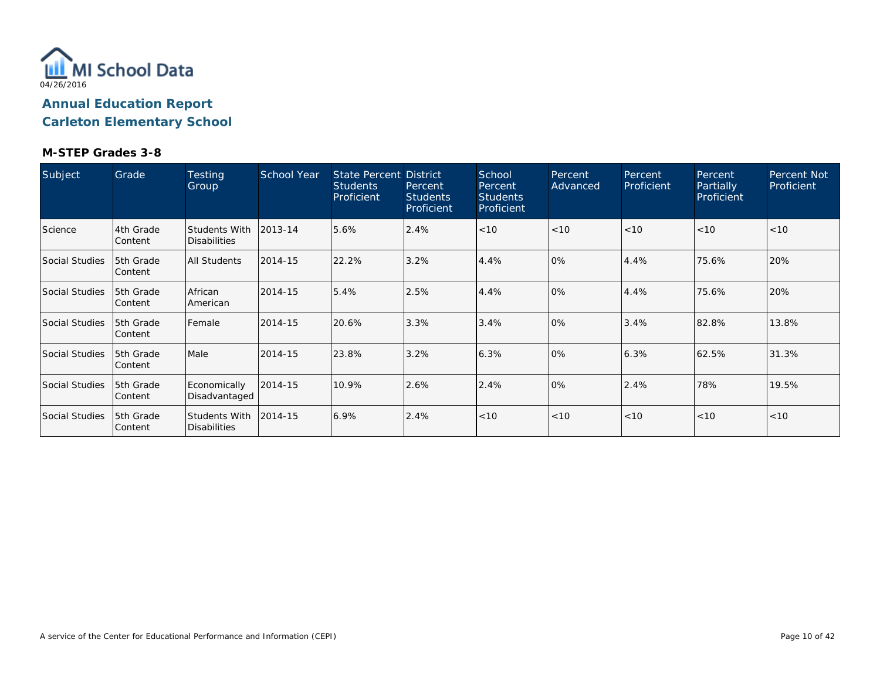

| Subject               | Grade                  | <b>Testing</b><br>Group                     | School Year | <b>State Percent District</b><br>Students<br>Proficient | Percent<br><b>Students</b><br>Proficient | School<br>Percent<br><b>Students</b><br>Proficient | Percent<br>Advanced | Percent<br>Proficient | Percent<br>Partially<br>Proficient | Percent Not<br>Proficient |
|-----------------------|------------------------|---------------------------------------------|-------------|---------------------------------------------------------|------------------------------------------|----------------------------------------------------|---------------------|-----------------------|------------------------------------|---------------------------|
| Science               | 4th Grade<br>Content   | <b>Students With</b><br><b>Disabilities</b> | 2013-14     | 5.6%                                                    | 2.4%                                     | < 10                                               | < 10                | < 10                  | < 10                               | < 10                      |
| Social Studies        | 5th Grade<br> Content  | All Students                                | 2014-15     | 22.2%                                                   | 3.2%                                     | 4.4%                                               | 0%                  | 4.4%                  | 75.6%                              | 20%                       |
| <b>Social Studies</b> | 15th Grade<br> Content | African<br>American                         | 2014-15     | 5.4%                                                    | 2.5%                                     | 4.4%                                               | 0%                  | 4.4%                  | 75.6%                              | 20%                       |
| Social Studies        | 15th Grade<br> Content | Female                                      | 2014-15     | 20.6%                                                   | 3.3%                                     | 3.4%                                               | 0%                  | 3.4%                  | 82.8%                              | 13.8%                     |
| Social Studies        | 5th Grade<br> Content  | Male                                        | 2014-15     | 23.8%                                                   | 3.2%                                     | 6.3%                                               | 0%                  | 6.3%                  | 62.5%                              | 31.3%                     |
| <b>Social Studies</b> | 5th Grade<br> Content  | Economically<br>Disadvantaged               | 2014-15     | 10.9%                                                   | 2.6%                                     | 2.4%                                               | 0%                  | 2.4%                  | 78%                                | 19.5%                     |
| Social Studies        | 5th Grade<br>Content   | <b>Students With</b><br><b>Disabilities</b> | 2014-15     | 6.9%                                                    | 2.4%                                     | < 10                                               | < 10                | < 10                  | < 10                               | < 10                      |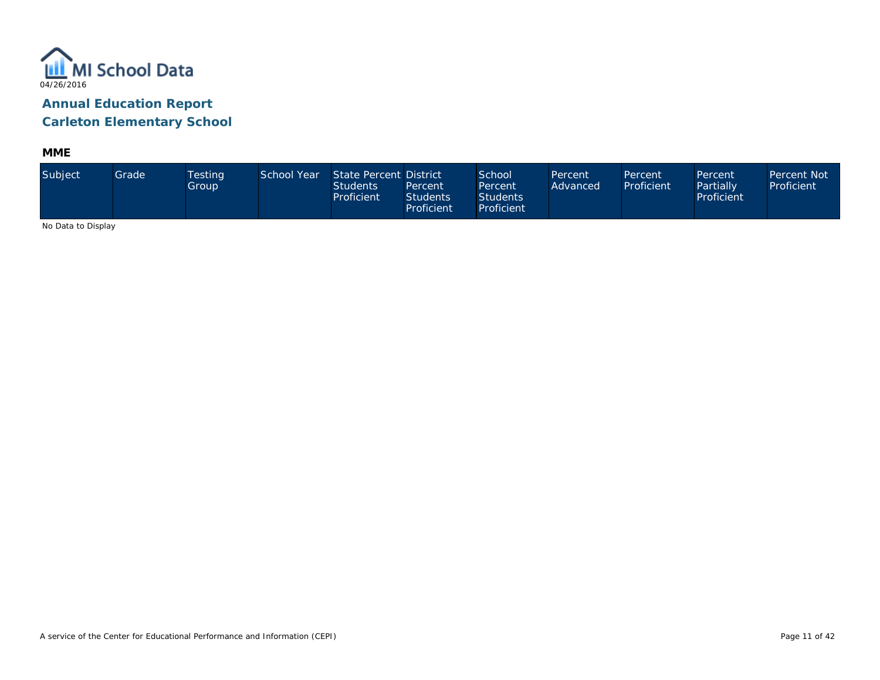

**MME**

| Subject                      | Grade | <b>Testing</b><br>Group | School Year | State Percent District<br><b>Students</b><br>Proficient | Percent<br><b>Students</b><br><b>Proficient</b> | School <sup>1</sup><br>Percent<br><b>Students</b><br>Proficient | Percent<br>Advanced | Percent<br>Proficient | Percent<br>Partially<br>Proficient | Percent Not<br>Proficient |
|------------------------------|-------|-------------------------|-------------|---------------------------------------------------------|-------------------------------------------------|-----------------------------------------------------------------|---------------------|-----------------------|------------------------------------|---------------------------|
| Also Distribute Distribution |       |                         |             |                                                         |                                                 |                                                                 |                     |                       |                                    |                           |

No Data to Display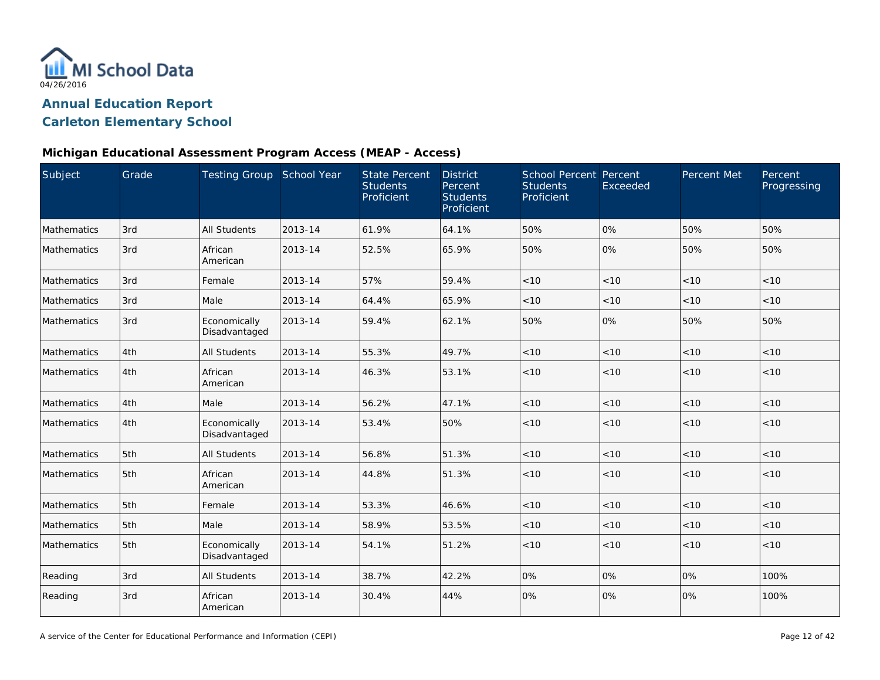

#### **Michigan Educational Assessment Program Access (MEAP - Access)**

| Subject            | Grade | Testing Group School Year     |         | <b>State Percent</b><br><b>Students</b><br>Proficient | <b>District</b><br>Percent<br><b>Students</b><br>Proficient | School Percent Percent<br><b>Students</b><br>Proficient | Exceeded | Percent Met | Percent<br>Progressing |
|--------------------|-------|-------------------------------|---------|-------------------------------------------------------|-------------------------------------------------------------|---------------------------------------------------------|----------|-------------|------------------------|
| <b>Mathematics</b> | 3rd   | <b>All Students</b>           | 2013-14 | 61.9%                                                 | 64.1%                                                       | 50%                                                     | 0%       | 50%         | 50%                    |
| Mathematics        | 3rd   | African<br>American           | 2013-14 | 52.5%                                                 | 65.9%                                                       | 50%                                                     | 0%       | 50%         | 50%                    |
| Mathematics        | 3rd   | Female                        | 2013-14 | 57%                                                   | 59.4%                                                       | < 10                                                    | < 10     | < 10        | < 10                   |
| Mathematics        | 3rd   | Male                          | 2013-14 | 64.4%                                                 | 65.9%                                                       | < 10                                                    | < 10     | < 10        | < 10                   |
| Mathematics        | 3rd   | Economically<br>Disadvantaged | 2013-14 | 59.4%                                                 | 62.1%                                                       | 50%                                                     | 0%       | 50%         | 50%                    |
| <b>Mathematics</b> | 4th   | <b>All Students</b>           | 2013-14 | 55.3%                                                 | 49.7%                                                       | < 10                                                    | < 10     | < 10        | < 10                   |
| Mathematics        | 4th   | African<br>American           | 2013-14 | 46.3%                                                 | 53.1%                                                       | < 10                                                    | < 10     | < 10        | < 10                   |
| Mathematics        | 4th   | Male                          | 2013-14 | 56.2%                                                 | 47.1%                                                       | < 10                                                    | < 10     | < 10        | < 10                   |
| <b>Mathematics</b> | 4th   | Economically<br>Disadvantaged | 2013-14 | 53.4%                                                 | 50%                                                         | < 10                                                    | < 10     | < 10        | < 10                   |
| Mathematics        | 5th   | <b>All Students</b>           | 2013-14 | 56.8%                                                 | 51.3%                                                       | < 10                                                    | < 10     | < 10        | < 10                   |
| Mathematics        | 5th   | African<br>American           | 2013-14 | 44.8%                                                 | 51.3%                                                       | < 10                                                    | < 10     | < 10        | < 10                   |
| Mathematics        | 5th   | Female                        | 2013-14 | 53.3%                                                 | 46.6%                                                       | < 10                                                    | < 10     | $<10$       | < 10                   |
| Mathematics        | 5th   | Male                          | 2013-14 | 58.9%                                                 | 53.5%                                                       | < 10                                                    | < 10     | $<10$       | < 10                   |
| Mathematics        | 5th   | Economically<br>Disadvantaged | 2013-14 | 54.1%                                                 | 51.2%                                                       | < 10                                                    | < 10     | < 10        | < 10                   |
| Reading            | 3rd   | <b>All Students</b>           | 2013-14 | 38.7%                                                 | 42.2%                                                       | 0%                                                      | 0%       | 0%          | 100%                   |
| Reading            | 3rd   | African<br>American           | 2013-14 | 30.4%                                                 | 44%                                                         | 0%                                                      | 0%       | 0%          | 100%                   |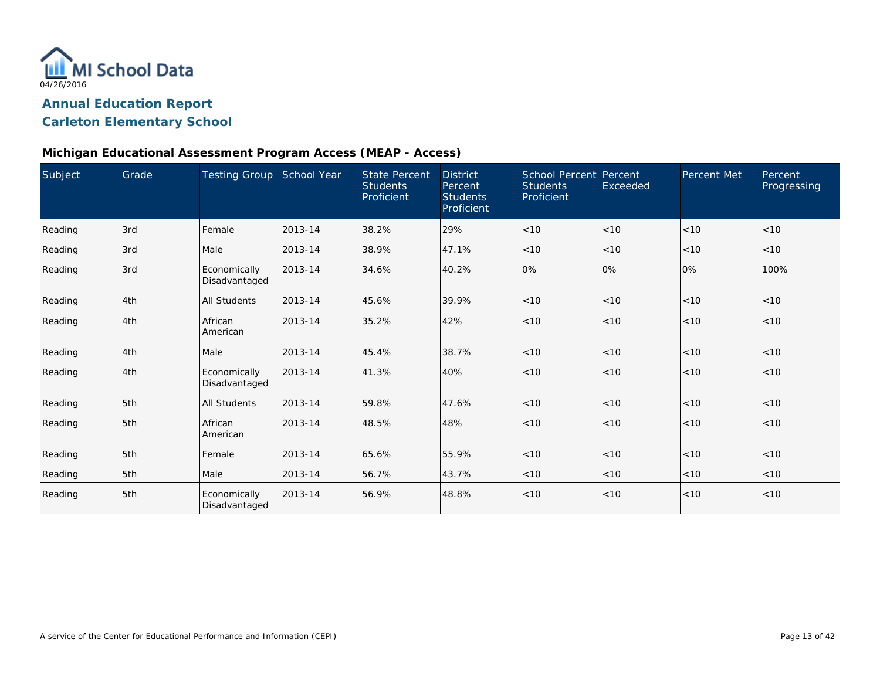

#### **Michigan Educational Assessment Program Access (MEAP - Access)**

| Subject | Grade | <b>Testing Group</b>          | School Year | <b>State Percent</b><br><b>Students</b><br>Proficient | <b>District</b><br>Percent<br><b>Students</b><br>Proficient | <b>School Percent Percent</b><br><b>Students</b><br>Proficient | Exceeded | Percent Met | Percent<br>Progressing |
|---------|-------|-------------------------------|-------------|-------------------------------------------------------|-------------------------------------------------------------|----------------------------------------------------------------|----------|-------------|------------------------|
| Reading | 3rd   | Female                        | 2013-14     | 38.2%                                                 | 29%                                                         | < 10                                                           | < 10     | < 10        | < 10                   |
| Reading | 3rd   | Male                          | 2013-14     | 38.9%                                                 | 47.1%                                                       | < 10                                                           | < 10     | < 10        | < 10                   |
| Reading | 3rd   | Economically<br>Disadvantaged | 2013-14     | 34.6%                                                 | 40.2%                                                       | 0%                                                             | 0%       | 0%          | 100%                   |
| Reading | 4th   | <b>All Students</b>           | 2013-14     | 45.6%                                                 | 39.9%                                                       | < 10                                                           | < 10     | < 10        | < 10                   |
| Reading | 4th   | African<br>American           | 2013-14     | 35.2%                                                 | 42%                                                         | < 10                                                           | < 10     | < 10        | < 10                   |
| Reading | 4th   | Male                          | 2013-14     | 45.4%                                                 | 38.7%                                                       | < 10                                                           | < 10     | < 10        | < 10                   |
| Reading | 4th   | Economically<br>Disadvantaged | 2013-14     | 41.3%                                                 | 40%                                                         | < 10                                                           | < 10     | < 10        | < 10                   |
| Reading | 5th   | <b>All Students</b>           | 2013-14     | 59.8%                                                 | 47.6%                                                       | < 10                                                           | < 10     | < 10        | < 10                   |
| Reading | 5th   | African<br>American           | 2013-14     | 48.5%                                                 | 48%                                                         | < 10                                                           | < 10     | < 10        | < 10                   |
| Reading | 5th   | Female                        | 2013-14     | 65.6%                                                 | 55.9%                                                       | < 10                                                           | < 10     | < 10        | < 10                   |
| Reading | 5th   | Male                          | 2013-14     | 56.7%                                                 | 43.7%                                                       | < 10                                                           | < 10     | < 10        | < 10                   |
| Reading | 5th   | Economically<br>Disadvantaged | 2013-14     | 56.9%                                                 | 48.8%                                                       | < 10                                                           | < 10     | < 10        | < 10                   |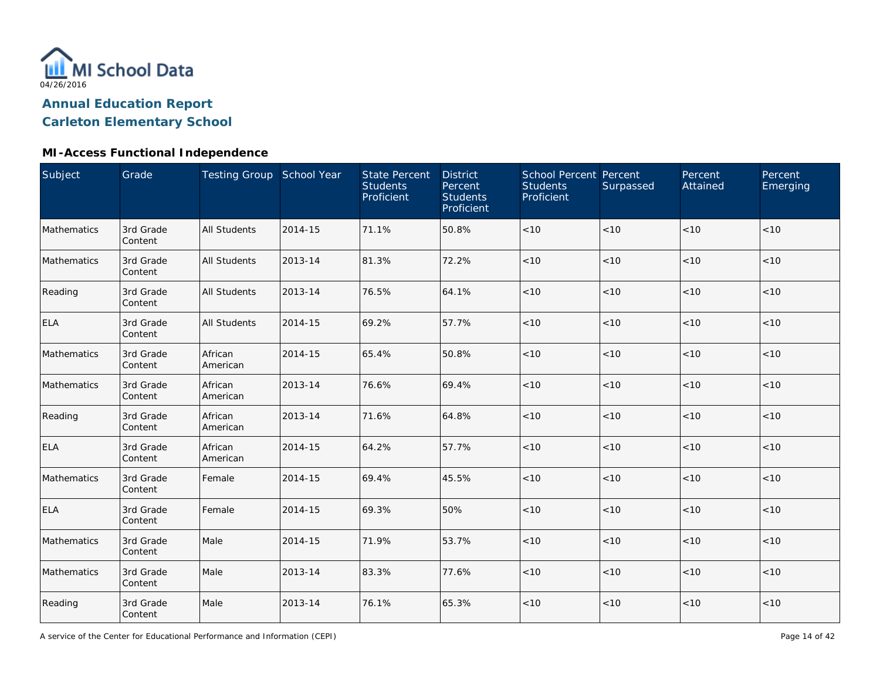

| <b>Subject</b> | Grade                | Testing Group School Year |         | <b>State Percent</b><br><b>Students</b><br>Proficient | <b>District</b><br>Percent<br><b>Students</b><br>Proficient | School Percent Percent<br><b>Students</b><br>Proficient | Surpassed | Percent<br>Attained | Percent<br>Emerging |
|----------------|----------------------|---------------------------|---------|-------------------------------------------------------|-------------------------------------------------------------|---------------------------------------------------------|-----------|---------------------|---------------------|
| Mathematics    | 3rd Grade<br>Content | <b>All Students</b>       | 2014-15 | 71.1%                                                 | 50.8%                                                       | $<10$                                                   | < 10      | < 10                | < 10                |
| Mathematics    | 3rd Grade<br>Content | <b>All Students</b>       | 2013-14 | 81.3%                                                 | 72.2%                                                       | $<10$                                                   | < 10      | < 10                | < 10                |
| Reading        | 3rd Grade<br>Content | <b>All Students</b>       | 2013-14 | 76.5%                                                 | 64.1%                                                       | $<10$                                                   | < 10      | < 10                | < 10                |
| ELA            | 3rd Grade<br>Content | All Students              | 2014-15 | 69.2%                                                 | 57.7%                                                       | $<10$                                                   | < 10      | < 10                | $<10$               |
| Mathematics    | 3rd Grade<br>Content | African<br>American       | 2014-15 | 65.4%                                                 | 50.8%                                                       | < 10                                                    | < 10      | < 10                | < 10                |
| Mathematics    | 3rd Grade<br>Content | African<br>American       | 2013-14 | 76.6%                                                 | 69.4%                                                       | < 10                                                    | < 10      | < 10                | < 10                |
| Reading        | 3rd Grade<br>Content | African<br>American       | 2013-14 | 71.6%                                                 | 64.8%                                                       | < 10                                                    | < 10      | < 10                | < 10                |
| ELA            | 3rd Grade<br>Content | African<br>American       | 2014-15 | 64.2%                                                 | 57.7%                                                       | $<10$                                                   | < 10      | < 10                | < 10                |
| Mathematics    | 3rd Grade<br>Content | Female                    | 2014-15 | 69.4%                                                 | 45.5%                                                       | < 10                                                    | < 10      | < 10                | < 10                |
| <b>ELA</b>     | 3rd Grade<br>Content | Female                    | 2014-15 | 69.3%                                                 | 50%                                                         | $<10$                                                   | < 10      | < 10                | < 10                |
| Mathematics    | 3rd Grade<br>Content | Male                      | 2014-15 | 71.9%                                                 | 53.7%                                                       | $<10$                                                   | < 10      | < 10                | < 10                |
| Mathematics    | 3rd Grade<br>Content | Male                      | 2013-14 | 83.3%                                                 | 77.6%                                                       | $<10$                                                   | < 10      | < 10                | < 10                |
| Reading        | 3rd Grade<br>Content | Male                      | 2013-14 | 76.1%                                                 | 65.3%                                                       | $<10$                                                   | $<10$     | < 10                | < 10                |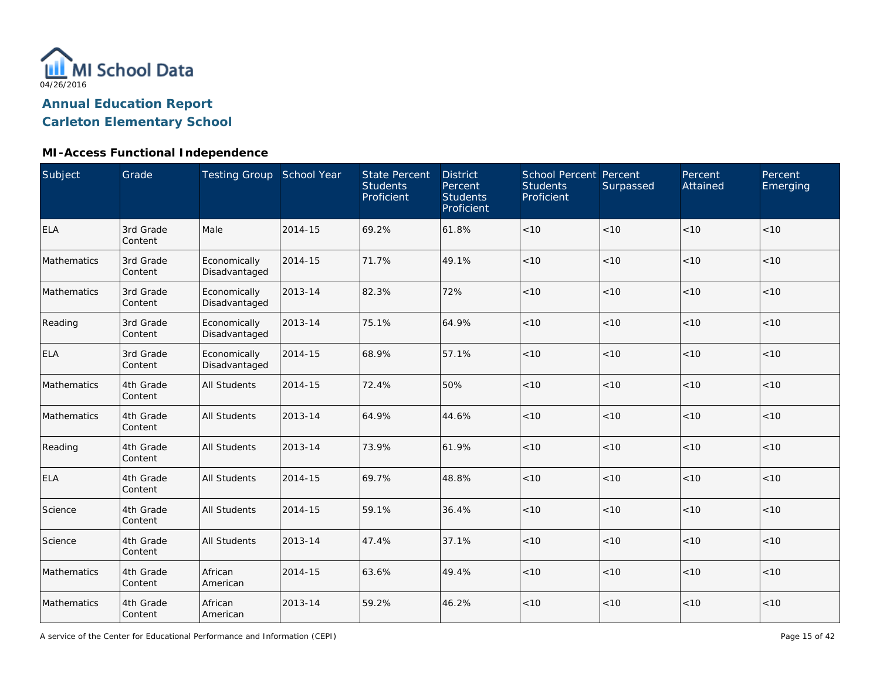

### **MI-Access Functional Independence**

| Subject     | Grade                | Testing Group School Year     |         | <b>State Percent</b><br><b>Students</b><br>Proficient | <b>District</b><br>Percent<br><b>Students</b><br>Proficient | School Percent Percent<br><b>Students</b><br>Proficient | Surpassed | Percent<br>Attained | Percent<br>Emerging |
|-------------|----------------------|-------------------------------|---------|-------------------------------------------------------|-------------------------------------------------------------|---------------------------------------------------------|-----------|---------------------|---------------------|
| <b>ELA</b>  | 3rd Grade<br>Content | Male                          | 2014-15 | 69.2%                                                 | 61.8%                                                       | < 10                                                    | < 10      | < 10                | < 10                |
| Mathematics | 3rd Grade<br>Content | Economically<br>Disadvantaged | 2014-15 | 71.7%                                                 | 49.1%                                                       | < 10                                                    | < 10      | < 10                | < 10                |
| Mathematics | 3rd Grade<br>Content | Economically<br>Disadvantaged | 2013-14 | 82.3%                                                 | 72%                                                         | $<10$                                                   | < 10      | < 10                | $<10$               |
| Reading     | 3rd Grade<br>Content | Economically<br>Disadvantaged | 2013-14 | 75.1%                                                 | 64.9%                                                       | < 10                                                    | < 10      | < 10                | < 10                |
| <b>ELA</b>  | 3rd Grade<br>Content | Economically<br>Disadvantaged | 2014-15 | 68.9%                                                 | 57.1%                                                       | $<10$                                                   | < 10      | < 10                | < 10                |
| Mathematics | 4th Grade<br>Content | <b>All Students</b>           | 2014-15 | 72.4%                                                 | 50%                                                         | < 10                                                    | < 10      | < 10                | < 10                |
| Mathematics | 4th Grade<br>Content | <b>All Students</b>           | 2013-14 | 64.9%                                                 | 44.6%                                                       | < 10                                                    | < 10      | < 10                | < 10                |
| Reading     | 4th Grade<br>Content | <b>All Students</b>           | 2013-14 | 73.9%                                                 | 61.9%                                                       | < 10                                                    | < 10      | < 10                | < 10                |
| <b>ELA</b>  | 4th Grade<br>Content | <b>All Students</b>           | 2014-15 | 69.7%                                                 | 48.8%                                                       | $<10$                                                   | < 10      | < 10                | < 10                |
| Science     | 4th Grade<br>Content | <b>All Students</b>           | 2014-15 | 59.1%                                                 | 36.4%                                                       | $<10$                                                   | < 10      | < 10                | < 10                |
| Science     | 4th Grade<br>Content | <b>All Students</b>           | 2013-14 | 47.4%                                                 | 37.1%                                                       | < 10                                                    | < 10      | < 10                | < 10                |
| Mathematics | 4th Grade<br>Content | African<br>American           | 2014-15 | 63.6%                                                 | 49.4%                                                       | $<10$                                                   | < 10      | < 10                | < 10                |
| Mathematics | 4th Grade<br>Content | African<br>American           | 2013-14 | 59.2%                                                 | 46.2%                                                       | < 10                                                    | $<10$     | < 10                | < 10                |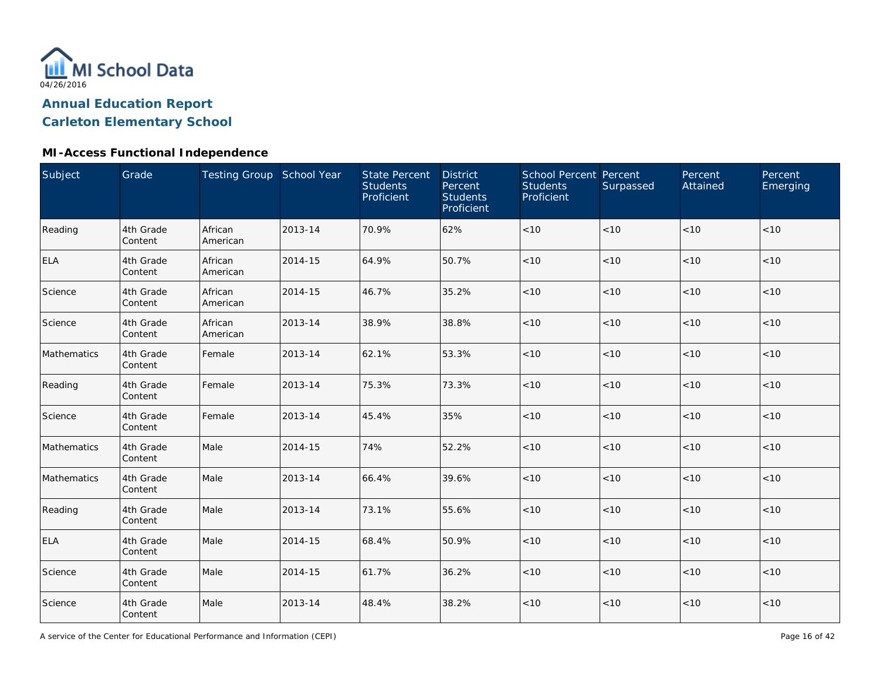

| Subject     | Grade                | Testing Group School Year |         | <b>State Percent</b><br><b>Students</b><br>Proficient | <b>District</b><br>Percent<br><b>Students</b><br>Proficient | School Percent Percent<br><b>Students</b><br>Proficient | Surpassed | Percent<br>Attained | Percent<br>Emerging |
|-------------|----------------------|---------------------------|---------|-------------------------------------------------------|-------------------------------------------------------------|---------------------------------------------------------|-----------|---------------------|---------------------|
| Reading     | 4th Grade<br>Content | African<br>American       | 2013-14 | 70.9%                                                 | 62%                                                         | $<10$                                                   | < 10      | < 10                | < 10                |
| <b>ELA</b>  | 4th Grade<br>Content | African<br>American       | 2014-15 | 64.9%                                                 | 50.7%                                                       | $<10$                                                   | < 10      | < 10                | < 10                |
| Science     | 4th Grade<br>Content | African<br>American       | 2014-15 | 46.7%                                                 | 35.2%                                                       | $<10$                                                   | < 10      | < 10                | < 10                |
| Science     | 4th Grade<br>Content | African<br>American       | 2013-14 | 38.9%                                                 | 38.8%                                                       | $<10$                                                   | < 10      | <10                 | $<10$               |
| Mathematics | 4th Grade<br>Content | Female                    | 2013-14 | 62.1%                                                 | 53.3%                                                       | < 10                                                    | < 10      | < 10                | < 10                |
| Reading     | 4th Grade<br>Content | Female                    | 2013-14 | 75.3%                                                 | 73.3%                                                       | < 10                                                    | < 10      | < 10                | < 10                |
| Science     | 4th Grade<br>Content | Female                    | 2013-14 | 45.4%                                                 | 35%                                                         | < 10                                                    | < 10      | < 10                | < 10                |
| Mathematics | 4th Grade<br>Content | Male                      | 2014-15 | 74%                                                   | 52.2%                                                       | $<10$                                                   | < 10      | < 10                | < 10                |
| Mathematics | 4th Grade<br>Content | Male                      | 2013-14 | 66.4%                                                 | 39.6%                                                       | $<10$                                                   | < 10      | < 10                | < 10                |
| Reading     | 4th Grade<br>Content | Male                      | 2013-14 | 73.1%                                                 | 55.6%                                                       | $<10$                                                   | < 10      | < 10                | < 10                |
| <b>ELA</b>  | 4th Grade<br>Content | Male                      | 2014-15 | 68.4%                                                 | 50.9%                                                       | $<10$                                                   | < 10      | < 10                | < 10                |
| Science     | 4th Grade<br>Content | Male                      | 2014-15 | 61.7%                                                 | 36.2%                                                       | $<10$                                                   | < 10      | < 10                | < 10                |
| Science     | 4th Grade<br>Content | Male                      | 2013-14 | 48.4%                                                 | 38.2%                                                       | $<10$                                                   | $<10$     | < 10                | < 10                |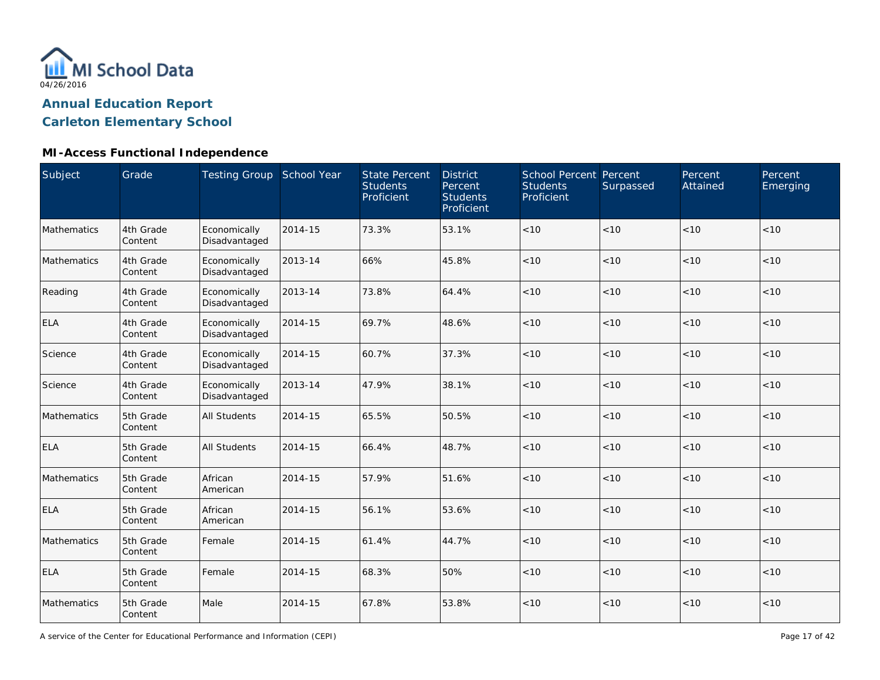

| Subject     | Grade                | Testing Group School Year     |         | <b>State Percent</b><br><b>Students</b><br>Proficient | <b>District</b><br>Percent<br><b>Students</b><br>Proficient | School Percent Percent<br><b>Students</b><br>Proficient | Surpassed | Percent<br>Attained | Percent<br>Emerging |
|-------------|----------------------|-------------------------------|---------|-------------------------------------------------------|-------------------------------------------------------------|---------------------------------------------------------|-----------|---------------------|---------------------|
| Mathematics | 4th Grade<br>Content | Economically<br>Disadvantaged | 2014-15 | 73.3%                                                 | 53.1%                                                       | $<10$                                                   | < 10      | < 10                | < 10                |
| Mathematics | 4th Grade<br>Content | Economically<br>Disadvantaged | 2013-14 | 66%                                                   | 45.8%                                                       | < 10                                                    | < 10      | < 10                | < 10                |
| Reading     | 4th Grade<br>Content | Economically<br>Disadvantaged | 2013-14 | 73.8%                                                 | 64.4%                                                       | < 10                                                    | < 10      | < 10                | $<10$               |
| <b>ELA</b>  | 4th Grade<br>Content | Economically<br>Disadvantaged | 2014-15 | 69.7%                                                 | 48.6%                                                       | < 10                                                    | < 10      | < 10                | < 10                |
| Science     | 4th Grade<br>Content | Economically<br>Disadvantaged | 2014-15 | 60.7%                                                 | 37.3%                                                       | < 10                                                    | < 10      | < 10                | < 10                |
| Science     | 4th Grade<br>Content | Economically<br>Disadvantaged | 2013-14 | 47.9%                                                 | 38.1%                                                       | $<10$                                                   | < 10      | < 10                | < 10                |
| Mathematics | 5th Grade<br>Content | <b>All Students</b>           | 2014-15 | 65.5%                                                 | 50.5%                                                       | < 10                                                    | < 10      | < 10                | < 10                |
| <b>ELA</b>  | 5th Grade<br>Content | <b>All Students</b>           | 2014-15 | 66.4%                                                 | 48.7%                                                       | < 10                                                    | < 10      | < 10                | < 10                |
| Mathematics | 5th Grade<br>Content | African<br>American           | 2014-15 | 57.9%                                                 | 51.6%                                                       | < 10                                                    | < 10      | < 10                | < 10                |
| <b>ELA</b>  | 5th Grade<br>Content | African<br>American           | 2014-15 | 56.1%                                                 | 53.6%                                                       | $<10$                                                   | < 10      | < 10                | < 10                |
| Mathematics | 5th Grade<br>Content | Female                        | 2014-15 | 61.4%                                                 | 44.7%                                                       | < 10                                                    | < 10      | < 10                | < 10                |
| ELA         | 5th Grade<br>Content | Female                        | 2014-15 | 68.3%                                                 | 50%                                                         | < 10                                                    | < 10      | < 10                | < 10                |
| Mathematics | 5th Grade<br>Content | Male                          | 2014-15 | 67.8%                                                 | 53.8%                                                       | $<10$                                                   | < 10      | < 10                | < 10                |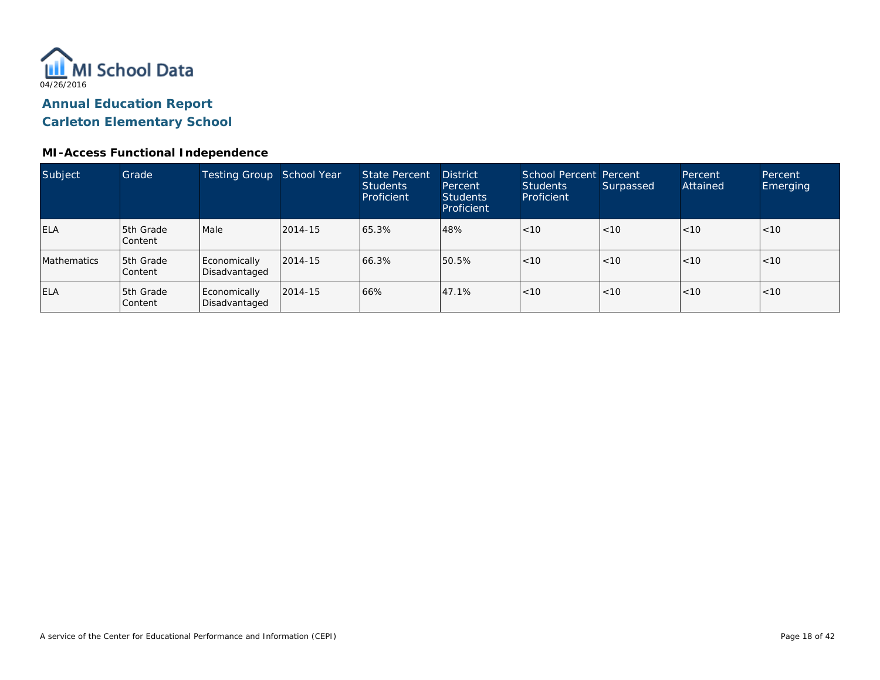

| Subject            | Grade                       | <b>Testing Group</b>          | School Year | <b>State Percent</b><br><b>Students</b><br>Proficient | <b>District</b><br>Percent<br><b>Students</b><br>Proficient | School Percent Percent<br><b>Students</b><br>Proficient | Surpassed | Percent<br>Attained | Percent<br>Emerging |
|--------------------|-----------------------------|-------------------------------|-------------|-------------------------------------------------------|-------------------------------------------------------------|---------------------------------------------------------|-----------|---------------------|---------------------|
| <b>ELA</b>         | 5th Grade<br>Content        | Male                          | 2014-15     | 65.3%                                                 | 48%                                                         | <10                                                     | < 10      | < 10                | < 10                |
| <b>Mathematics</b> | 5th Grade<br><b>Content</b> | Economically<br>Disadvantaged | 2014-15     | 66.3%                                                 | 50.5%                                                       | < 10                                                    | < 10      | < 10                | < 10                |
| <b>ELA</b>         | 5th Grade<br>Content        | Economically<br>Disadvantaged | 2014-15     | 66%                                                   | 47.1%                                                       | < 10                                                    | < 10      | < 10                | < 10                |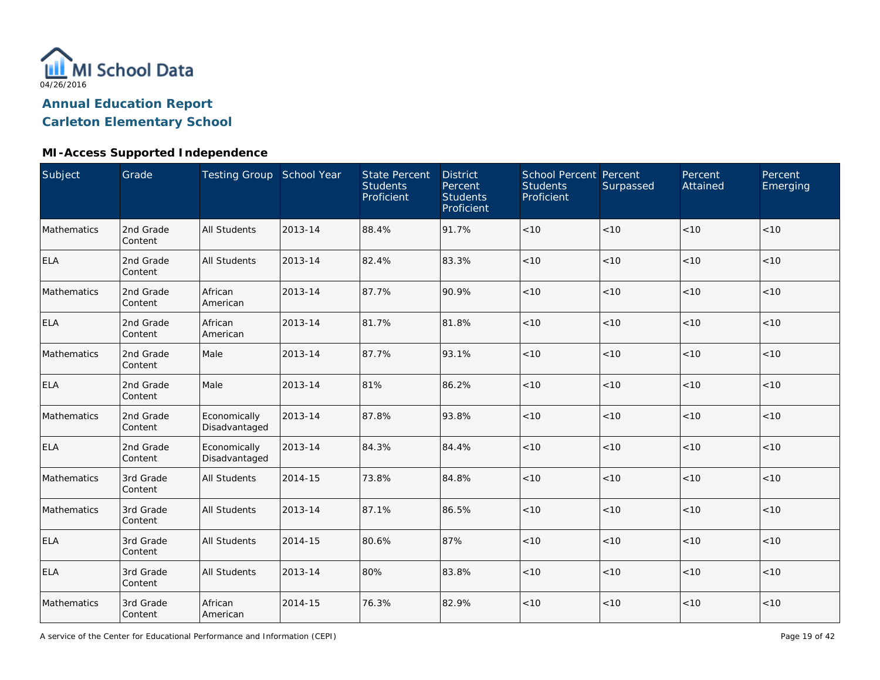

### **MI-Access Supported Independence**

| Subject     | Grade                | Testing Group School Year     |         | <b>State Percent</b><br><b>Students</b><br>Proficient | <b>District</b><br>Percent<br><b>Students</b><br>Proficient | School Percent Percent<br><b>Students</b><br>Proficient | Surpassed | Percent<br>Attained | Percent<br>Emerging |
|-------------|----------------------|-------------------------------|---------|-------------------------------------------------------|-------------------------------------------------------------|---------------------------------------------------------|-----------|---------------------|---------------------|
| Mathematics | 2nd Grade<br>Content | <b>All Students</b>           | 2013-14 | 88.4%                                                 | 91.7%                                                       | < 10                                                    | < 10      | < 10                | < 10                |
| <b>ELA</b>  | 2nd Grade<br>Content | <b>All Students</b>           | 2013-14 | 82.4%                                                 | 83.3%                                                       | < 10                                                    | < 10      | < 10                | < 10                |
| Mathematics | 2nd Grade<br>Content | African<br>American           | 2013-14 | 87.7%                                                 | 90.9%                                                       | <10                                                     | < 10      | < 10                | < 10                |
| <b>ELA</b>  | 2nd Grade<br>Content | African<br>American           | 2013-14 | 81.7%                                                 | 81.8%                                                       | < 10                                                    | < 10      | < 10                | < 10                |
| Mathematics | 2nd Grade<br>Content | Male                          | 2013-14 | 87.7%                                                 | 93.1%                                                       | $<10$                                                   | < 10      | < 10                | $<10$               |
| <b>ELA</b>  | 2nd Grade<br>Content | Male                          | 2013-14 | 81%                                                   | 86.2%                                                       | < 10                                                    | < 10      | < 10                | < 10                |
| Mathematics | 2nd Grade<br>Content | Economically<br>Disadvantaged | 2013-14 | 87.8%                                                 | 93.8%                                                       | < 10                                                    | < 10      | < 10                | < 10                |
| <b>ELA</b>  | 2nd Grade<br>Content | Economically<br>Disadvantaged | 2013-14 | 84.3%                                                 | 84.4%                                                       | < 10                                                    | < 10      | < 10                | < 10                |
| Mathematics | 3rd Grade<br>Content | <b>All Students</b>           | 2014-15 | 73.8%                                                 | 84.8%                                                       | < 10                                                    | < 10      | < 10                | < 10                |
| Mathematics | 3rd Grade<br>Content | <b>All Students</b>           | 2013-14 | 87.1%                                                 | 86.5%                                                       | < 10                                                    | < 10      | < 10                | < 10                |
| <b>ELA</b>  | 3rd Grade<br>Content | <b>All Students</b>           | 2014-15 | 80.6%                                                 | 87%                                                         | $<10$                                                   | <10       | $<10$               | $<10$               |
| <b>ELA</b>  | 3rd Grade<br>Content | <b>All Students</b>           | 2013-14 | 80%                                                   | 83.8%                                                       | $<10$                                                   | < 10      | < 10                | $<10$               |
| Mathematics | 3rd Grade<br>Content | African<br>American           | 2014-15 | 76.3%                                                 | 82.9%                                                       | < 10                                                    | < 10      | $<10$               | < 10                |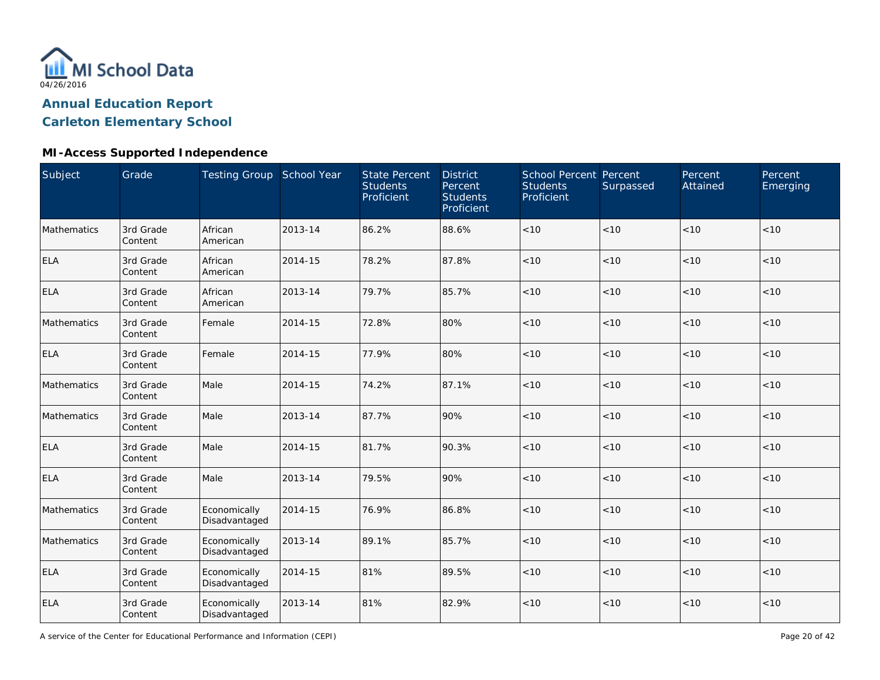

### **MI-Access Supported Independence**

| Subject     | Grade                | Testing Group School Year     |         | <b>State Percent</b><br><b>Students</b><br>Proficient | <b>District</b><br>Percent<br><b>Students</b><br>Proficient | School Percent Percent<br><b>Students</b><br>Proficient | Surpassed | Percent<br>Attained | Percent<br>Emerging |
|-------------|----------------------|-------------------------------|---------|-------------------------------------------------------|-------------------------------------------------------------|---------------------------------------------------------|-----------|---------------------|---------------------|
| Mathematics | 3rd Grade<br>Content | African<br>American           | 2013-14 | 86.2%                                                 | 88.6%                                                       | $<10$                                                   | < 10      | < 10                | < 10                |
| ELA         | 3rd Grade<br>Content | African<br>American           | 2014-15 | 78.2%                                                 | 87.8%                                                       | < 10                                                    | < 10      | < 10                | < 10                |
| <b>ELA</b>  | 3rd Grade<br>Content | African<br>American           | 2013-14 | 79.7%                                                 | 85.7%                                                       | < 10                                                    | < 10      | < 10                | < 10                |
| Mathematics | 3rd Grade<br>Content | Female                        | 2014-15 | 72.8%                                                 | 80%                                                         | $<10$                                                   | < 10      | < 10                | < 10                |
| <b>ELA</b>  | 3rd Grade<br>Content | Female                        | 2014-15 | 77.9%                                                 | 80%                                                         | < 10                                                    | < 10      | < 10                | < 10                |
| Mathematics | 3rd Grade<br>Content | Male                          | 2014-15 | 74.2%                                                 | 87.1%                                                       | $<10$                                                   | < 10      | < 10                | < 10                |
| Mathematics | 3rd Grade<br>Content | Male                          | 2013-14 | 87.7%                                                 | 90%                                                         | < 10                                                    | < 10      | < 10                | < 10                |
| <b>ELA</b>  | 3rd Grade<br>Content | Male                          | 2014-15 | 81.7%                                                 | 90.3%                                                       | < 10                                                    | < 10      | < 10                | < 10                |
| <b>ELA</b>  | 3rd Grade<br>Content | Male                          | 2013-14 | 79.5%                                                 | 90%                                                         | $<10$                                                   | < 10      | < 10                | < 10                |
| Mathematics | 3rd Grade<br>Content | Economically<br>Disadvantaged | 2014-15 | 76.9%                                                 | 86.8%                                                       | $<10$                                                   | < 10      | < 10                | < 10                |
| Mathematics | 3rd Grade<br>Content | Economically<br>Disadvantaged | 2013-14 | 89.1%                                                 | 85.7%                                                       | $<10$                                                   | $<10$     | < 10                | < 10                |
| <b>ELA</b>  | 3rd Grade<br>Content | Economically<br>Disadvantaged | 2014-15 | 81%                                                   | 89.5%                                                       | $<10$                                                   | < 10      | < 10                | < 10                |
| ELA         | 3rd Grade<br>Content | Economically<br>Disadvantaged | 2013-14 | 81%                                                   | 82.9%                                                       | $<10$                                                   | < 10      | < 10                | < 10                |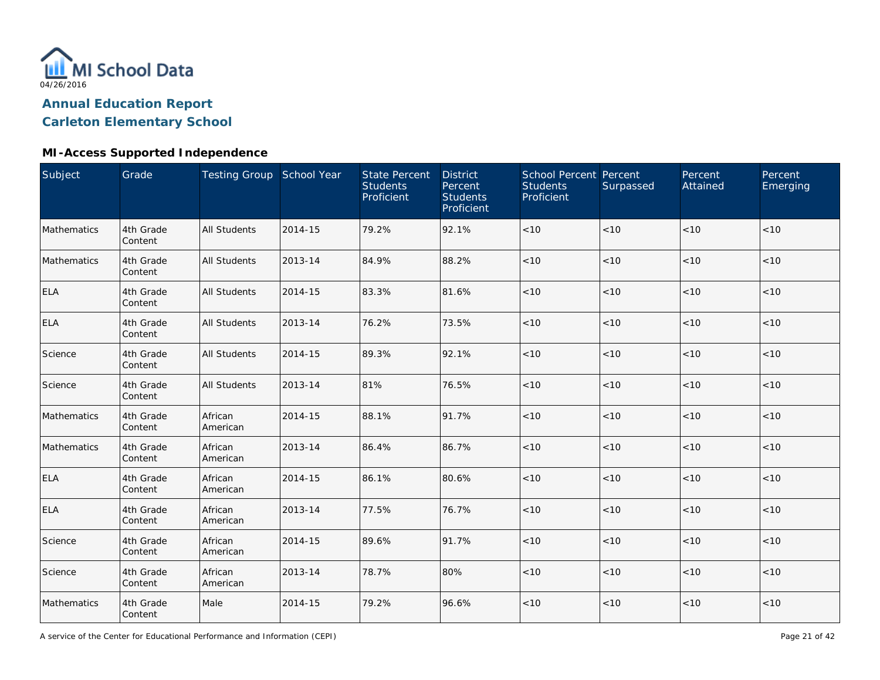

### **MI-Access Supported Independence**

| Subject     | Grade                | Testing Group School Year |         | <b>State Percent</b><br><b>Students</b><br>Proficient | <b>District</b><br>Percent<br><b>Students</b><br>Proficient | <b>School Percent Percent</b><br><b>Students</b><br>Proficient | Surpassed | Percent<br>Attained | Percent<br>Emerging |
|-------------|----------------------|---------------------------|---------|-------------------------------------------------------|-------------------------------------------------------------|----------------------------------------------------------------|-----------|---------------------|---------------------|
| Mathematics | 4th Grade<br>Content | <b>All Students</b>       | 2014-15 | 79.2%                                                 | 92.1%                                                       | $<10$                                                          | < 10      | < 10                | < 10                |
| Mathematics | 4th Grade<br>Content | <b>All Students</b>       | 2013-14 | 84.9%                                                 | 88.2%                                                       | < 10                                                           | < 10      | < 10                | < 10                |
| <b>ELA</b>  | 4th Grade<br>Content | <b>All Students</b>       | 2014-15 | 83.3%                                                 | 81.6%                                                       | < 10                                                           | < 10      | < 10                | < 10                |
| <b>ELA</b>  | 4th Grade<br>Content | <b>All Students</b>       | 2013-14 | 76.2%                                                 | 73.5%                                                       | $<10$                                                          | < 10      | < 10                | < 10                |
| Science     | 4th Grade<br>Content | <b>All Students</b>       | 2014-15 | 89.3%                                                 | 92.1%                                                       | $<10$                                                          | < 10      | < 10                | < 10                |
| Science     | 4th Grade<br>Content | <b>All Students</b>       | 2013-14 | 81%                                                   | 76.5%                                                       | < 10                                                           | < 10      | < 10                | < 10                |
| Mathematics | 4th Grade<br>Content | African<br>American       | 2014-15 | 88.1%                                                 | 91.7%                                                       | < 10                                                           | < 10      | < 10                | < 10                |
| Mathematics | 4th Grade<br>Content | African<br>American       | 2013-14 | 86.4%                                                 | 86.7%                                                       | < 10                                                           | < 10      | < 10                | < 10                |
| <b>ELA</b>  | 4th Grade<br>Content | African<br>American       | 2014-15 | 86.1%                                                 | 80.6%                                                       | $<10$                                                          | < 10      | < 10                | < 10                |
| <b>ELA</b>  | 4th Grade<br>Content | African<br>American       | 2013-14 | 77.5%                                                 | 76.7%                                                       | $<10$                                                          | < 10      | < 10                | < 10                |
| Science     | 4th Grade<br>Content | African<br>American       | 2014-15 | 89.6%                                                 | 91.7%                                                       | $<10$                                                          | < 10      | < 10                | < 10                |
| Science     | 4th Grade<br>Content | African<br>American       | 2013-14 | 78.7%                                                 | 80%                                                         | $<10$                                                          | < 10      | < 10                | < 10                |
| Mathematics | 4th Grade<br>Content | Male                      | 2014-15 | 79.2%                                                 | 96.6%                                                       | $<10$                                                          | $<10$     | < 10                | < 10                |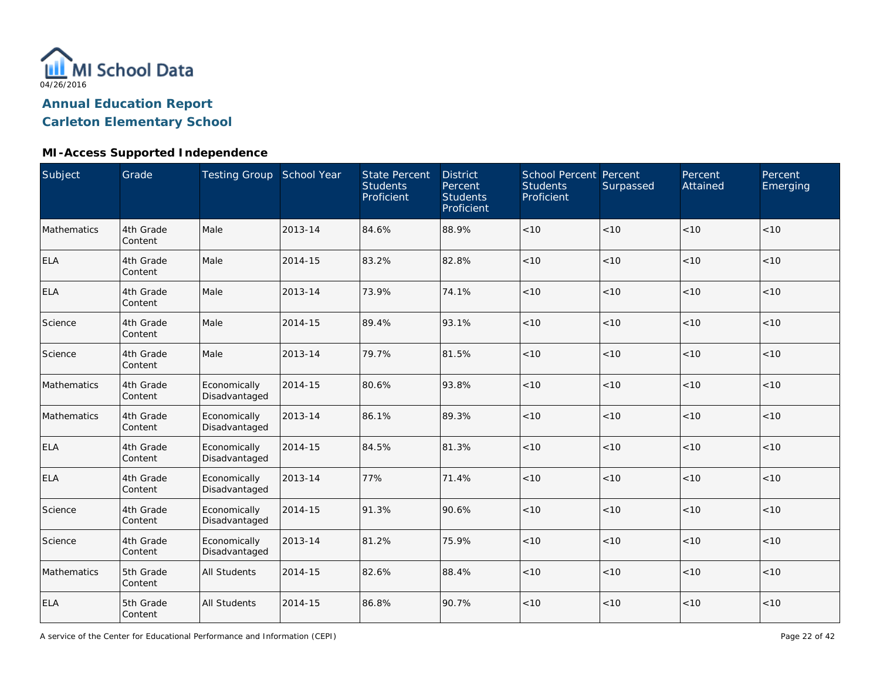

### **MI-Access Supported Independence**

| Subject     | Grade                | Testing Group School Year     |         | <b>State Percent</b><br><b>Students</b><br>Proficient | <b>District</b><br>Percent<br><b>Students</b><br>Proficient | School Percent Percent<br><b>Students</b><br>Proficient | Surpassed | Percent<br>Attained | Percent<br>Emerging |
|-------------|----------------------|-------------------------------|---------|-------------------------------------------------------|-------------------------------------------------------------|---------------------------------------------------------|-----------|---------------------|---------------------|
| Mathematics | 4th Grade<br>Content | Male                          | 2013-14 | 84.6%                                                 | 88.9%                                                       | $<10$                                                   | < 10      | < 10                | < 10                |
| <b>ELA</b>  | 4th Grade<br>Content | Male                          | 2014-15 | 83.2%                                                 | 82.8%                                                       | < 10                                                    | < 10      | < 10                | < 10                |
| <b>ELA</b>  | 4th Grade<br>Content | Male                          | 2013-14 | 73.9%                                                 | 74.1%                                                       | < 10                                                    | < 10      | < 10                | < 10                |
| Science     | 4th Grade<br>Content | Male                          | 2014-15 | 89.4%                                                 | 93.1%                                                       | < 10                                                    | < 10      | < 10                | < 10                |
| Science     | 4th Grade<br>Content | Male                          | 2013-14 | 79.7%                                                 | 81.5%                                                       | < 10                                                    | < 10      | < 10                | < 10                |
| Mathematics | 4th Grade<br>Content | Economically<br>Disadvantaged | 2014-15 | 80.6%                                                 | 93.8%                                                       | < 10                                                    | < 10      | < 10                | < 10                |
| Mathematics | 4th Grade<br>Content | Economically<br>Disadvantaged | 2013-14 | 86.1%                                                 | 89.3%                                                       | < 10                                                    | < 10      | < 10                | < 10                |
| <b>ELA</b>  | 4th Grade<br>Content | Economically<br>Disadvantaged | 2014-15 | 84.5%                                                 | 81.3%                                                       | < 10                                                    | < 10      | < 10                | < 10                |
| <b>ELA</b>  | 4th Grade<br>Content | Economically<br>Disadvantaged | 2013-14 | 77%                                                   | 71.4%                                                       | < 10                                                    | < 10      | < 10                | $<10$               |
| Science     | 4th Grade<br>Content | Economically<br>Disadvantaged | 2014-15 | 91.3%                                                 | 90.6%                                                       | $<10$                                                   | < 10      | < 10                | $<10$               |
| Science     | 4th Grade<br>Content | Economically<br>Disadvantaged | 2013-14 | 81.2%                                                 | 75.9%                                                       | < 10                                                    | < 10      | < 10                | < 10                |
| Mathematics | 5th Grade<br>Content | <b>All Students</b>           | 2014-15 | 82.6%                                                 | 88.4%                                                       | < 10                                                    | < 10      | < 10                | < 10                |
| <b>ELA</b>  | 5th Grade<br>Content | <b>All Students</b>           | 2014-15 | 86.8%                                                 | 90.7%                                                       | $<10$                                                   | < 10      | < 10                | $<10$               |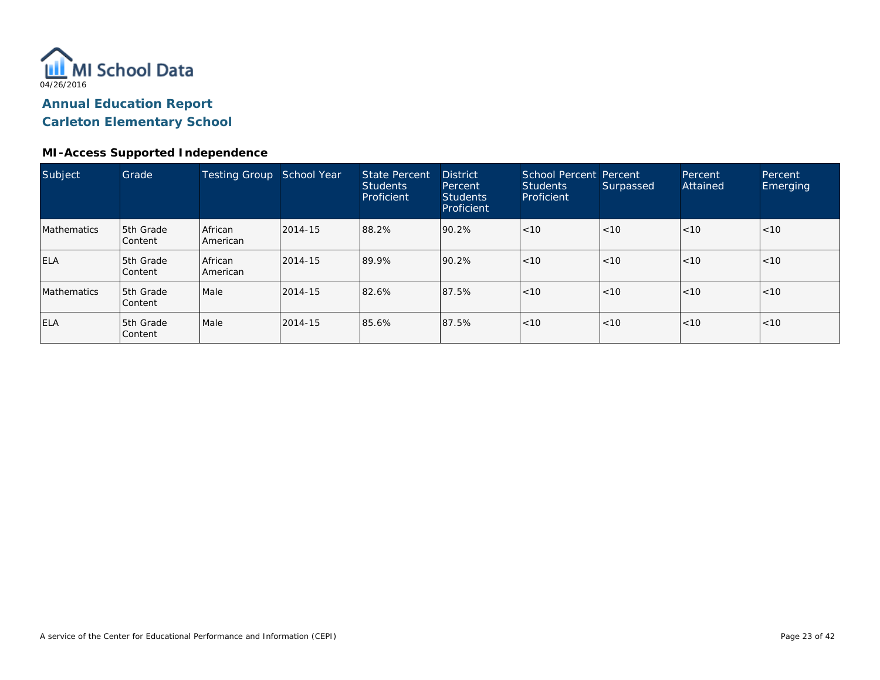

### **MI-Access Supported Independence**

| Subject            | Grade                       | Testing Group       | School Year | <b>State Percent</b><br><b>Students</b><br>Proficient | <b>District</b><br>Percent<br><b>Students</b><br>Proficient | School Percent Percent<br><b>Students</b><br>Proficient | Surpassed | Percent<br>Attained | Percent<br>Emerging |
|--------------------|-----------------------------|---------------------|-------------|-------------------------------------------------------|-------------------------------------------------------------|---------------------------------------------------------|-----------|---------------------|---------------------|
| <b>Mathematics</b> | 5th Grade<br><b>Content</b> | African<br>American | 2014-15     | 88.2%                                                 | 90.2%                                                       | < 10                                                    | < 10      | < 10                | < 10                |
| <b>ELA</b>         | 5th Grade<br>l Content      | African<br>American | 2014-15     | 89.9%                                                 | 90.2%                                                       | < 10                                                    | < 10      | < 10                | < 10                |
| <b>Mathematics</b> | 5th Grade<br><b>Content</b> | Male                | 2014-15     | 82.6%                                                 | 87.5%                                                       | < 10                                                    | < 10      | < 10                | < 10                |
| <b>ELA</b>         | 5th Grade<br>Content        | Male                | 2014-15     | 85.6%                                                 | 87.5%                                                       | < 10                                                    | < 10      | < 10                | < 10                |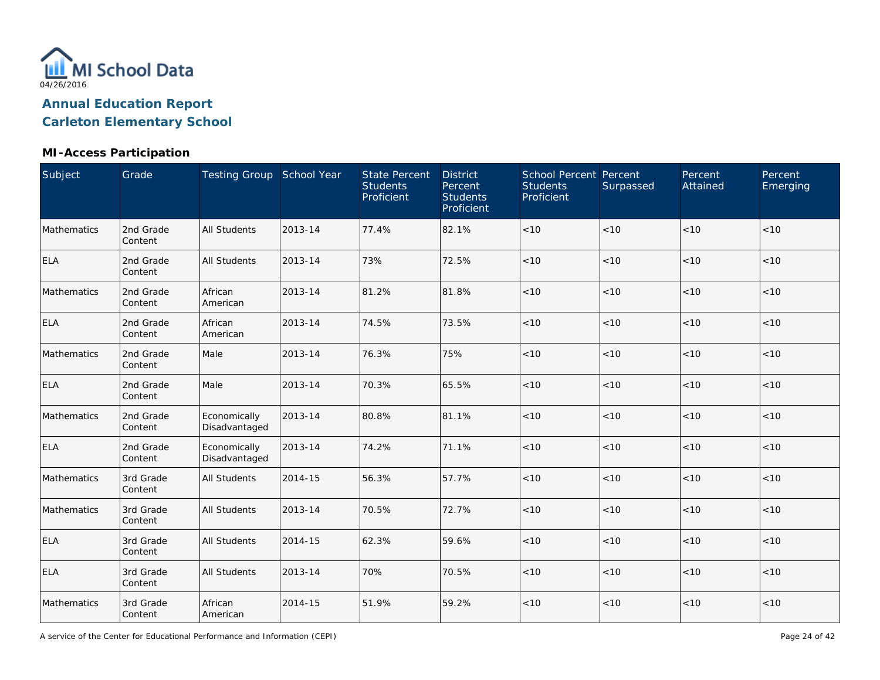

### **MI-Access Participation**

| <b>Subject</b> | Grade                | Testing Group School Year     |         | <b>State Percent</b><br><b>Students</b><br>Proficient | <b>District</b><br>Percent<br><b>Students</b><br>Proficient | <b>School Percent Percent</b><br><b>Students</b><br>Proficient | Surpassed | Percent<br>Attained | Percent<br>Emerging |
|----------------|----------------------|-------------------------------|---------|-------------------------------------------------------|-------------------------------------------------------------|----------------------------------------------------------------|-----------|---------------------|---------------------|
| Mathematics    | 2nd Grade<br>Content | <b>All Students</b>           | 2013-14 | 77.4%                                                 | 82.1%                                                       | < 10                                                           | < 10      | < 10                | < 10                |
| <b>ELA</b>     | 2nd Grade<br>Content | <b>All Students</b>           | 2013-14 | 73%                                                   | 72.5%                                                       | < 10                                                           | < 10      | < 10                | < 10                |
| Mathematics    | 2nd Grade<br>Content | African<br>American           | 2013-14 | 81.2%                                                 | 81.8%                                                       | < 10                                                           | < 10      | < 10                | < 10                |
| <b>ELA</b>     | 2nd Grade<br>Content | African<br>American           | 2013-14 | 74.5%                                                 | 73.5%                                                       | < 10                                                           | < 10      | < 10                | < 10                |
| Mathematics    | 2nd Grade<br>Content | Male                          | 2013-14 | 76.3%                                                 | 75%                                                         | < 10                                                           | < 10      | < 10                | < 10                |
| <b>ELA</b>     | 2nd Grade<br>Content | Male                          | 2013-14 | 70.3%                                                 | 65.5%                                                       | < 10                                                           | < 10      | < 10                | < 10                |
| Mathematics    | 2nd Grade<br>Content | Economically<br>Disadvantaged | 2013-14 | 80.8%                                                 | 81.1%                                                       | < 10                                                           | < 10      | < 10                | < 10                |
| <b>ELA</b>     | 2nd Grade<br>Content | Economically<br>Disadvantaged | 2013-14 | 74.2%                                                 | 71.1%                                                       | < 10                                                           | < 10      | < 10                | < 10                |
| Mathematics    | 3rd Grade<br>Content | <b>All Students</b>           | 2014-15 | 56.3%                                                 | 57.7%                                                       | $<10$                                                          | $<10$     | $<10$               | < 10                |
| Mathematics    | 3rd Grade<br>Content | <b>All Students</b>           | 2013-14 | 70.5%                                                 | 72.7%                                                       | $<10$                                                          | < 10      | < 10                | < 10                |
| <b>ELA</b>     | 3rd Grade<br>Content | <b>All Students</b>           | 2014-15 | 62.3%                                                 | 59.6%                                                       | $<10$                                                          | < 10      | $<10$               | < 10                |
| <b>ELA</b>     | 3rd Grade<br>Content | <b>All Students</b>           | 2013-14 | 70%                                                   | 70.5%                                                       | $<10$                                                          | $<10$     | < 10                | < 10                |
| Mathematics    | 3rd Grade<br>Content | African<br>American           | 2014-15 | 51.9%                                                 | 59.2%                                                       | $<10$                                                          | $<10$     | $<10$               | $<10$               |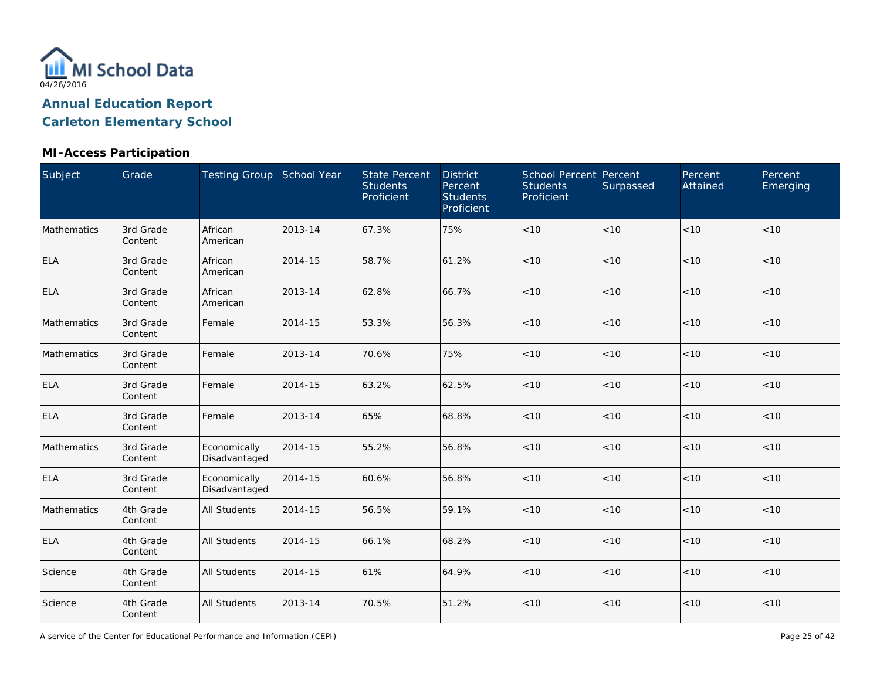

### **MI-Access Participation**

| Subject     | Grade                | Testing Group School Year     |         | <b>State Percent</b><br><b>Students</b><br>Proficient | <b>District</b><br>Percent<br><b>Students</b><br>Proficient | School Percent Percent<br><b>Students</b><br>Proficient | Surpassed | Percent<br>Attained | Percent<br>Emerging |
|-------------|----------------------|-------------------------------|---------|-------------------------------------------------------|-------------------------------------------------------------|---------------------------------------------------------|-----------|---------------------|---------------------|
| Mathematics | 3rd Grade<br>Content | African<br>American           | 2013-14 | 67.3%                                                 | 75%                                                         | $<10$                                                   | < 10      | < 10                | < 10                |
| <b>ELA</b>  | 3rd Grade<br>Content | African<br>American           | 2014-15 | 58.7%                                                 | 61.2%                                                       | < 10                                                    | < 10      | < 10                | < 10                |
| <b>ELA</b>  | 3rd Grade<br>Content | African<br>American           | 2013-14 | 62.8%                                                 | 66.7%                                                       | < 10                                                    | < 10      | < 10                | < 10                |
| Mathematics | 3rd Grade<br>Content | Female                        | 2014-15 | 53.3%                                                 | 56.3%                                                       | $<10$                                                   | < 10      | < 10                | < 10                |
| Mathematics | 3rd Grade<br>Content | Female                        | 2013-14 | 70.6%                                                 | 75%                                                         | $<10$                                                   | < 10      | < 10                | < 10                |
| <b>ELA</b>  | 3rd Grade<br>Content | Female                        | 2014-15 | 63.2%                                                 | 62.5%                                                       | $<10$                                                   | < 10      | < 10                | < 10                |
| <b>ELA</b>  | 3rd Grade<br>Content | Female                        | 2013-14 | 65%                                                   | 68.8%                                                       | < 10                                                    | < 10      | < 10                | < 10                |
| Mathematics | 3rd Grade<br>Content | Economically<br>Disadvantaged | 2014-15 | 55.2%                                                 | 56.8%                                                       | < 10                                                    | < 10      | < 10                | < 10                |
| <b>ELA</b>  | 3rd Grade<br>Content | Economically<br>Disadvantaged | 2014-15 | 60.6%                                                 | 56.8%                                                       | $<10$                                                   | < 10      | < 10                | < 10                |
| Mathematics | 4th Grade<br>Content | <b>All Students</b>           | 2014-15 | 56.5%                                                 | 59.1%                                                       | $<10$                                                   | < 10      | < 10                | < 10                |
| <b>ELA</b>  | 4th Grade<br>Content | <b>All Students</b>           | 2014-15 | 66.1%                                                 | 68.2%                                                       | $<10$                                                   | < 10      | < 10                | < 10                |
| Science     | 4th Grade<br>Content | <b>All Students</b>           | 2014-15 | 61%                                                   | 64.9%                                                       | $<10$                                                   | < 10      | < 10                | < 10                |
| Science     | 4th Grade<br>Content | <b>All Students</b>           | 2013-14 | 70.5%                                                 | 51.2%                                                       | $<10$                                                   | < 10      | < 10                | < 10                |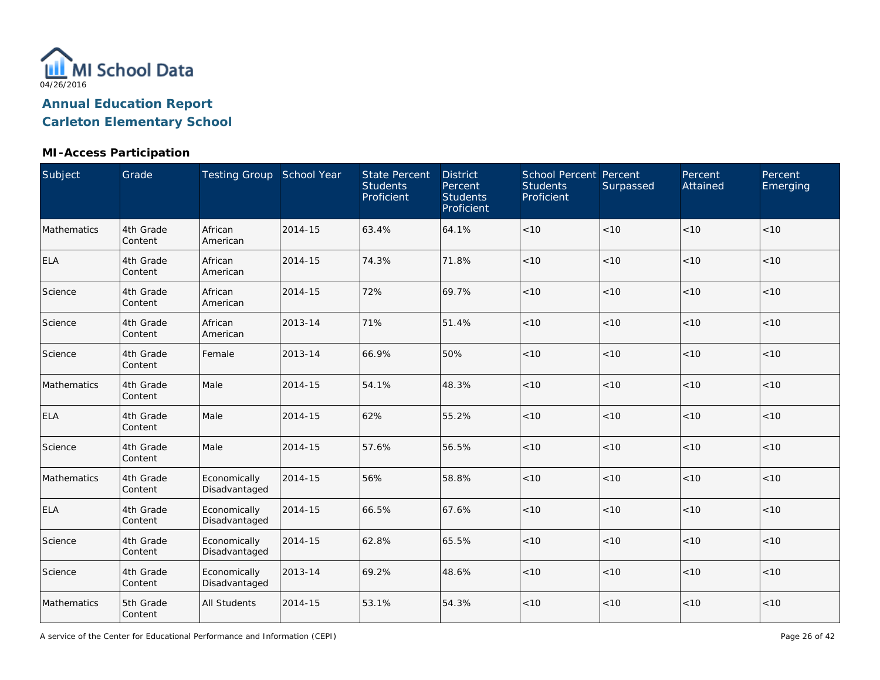

### **MI-Access Participation**

| Subject     | Grade                | Testing Group School Year     |         | <b>State Percent</b><br><b>Students</b><br>Proficient | <b>District</b><br>Percent<br><b>Students</b><br>Proficient | School Percent Percent<br><b>Students</b><br>Proficient | Surpassed | Percent<br>Attained | Percent<br>Emerging |
|-------------|----------------------|-------------------------------|---------|-------------------------------------------------------|-------------------------------------------------------------|---------------------------------------------------------|-----------|---------------------|---------------------|
| Mathematics | 4th Grade<br>Content | African<br>American           | 2014-15 | 63.4%                                                 | 64.1%                                                       | $<10$                                                   | < 10      | < 10                | < 10                |
| <b>ELA</b>  | 4th Grade<br>Content | African<br>American           | 2014-15 | 74.3%                                                 | 71.8%                                                       | $<10$                                                   | < 10      | < 10                | < 10                |
| Science     | 4th Grade<br>Content | African<br>American           | 2014-15 | 72%                                                   | 69.7%                                                       | < 10                                                    | < 10      | < 10                | < 10                |
| Science     | 4th Grade<br>Content | African<br>American           | 2013-14 | 71%                                                   | 51.4%                                                       | $<10$                                                   | < 10      | < 10                | $<10$               |
| Science     | 4th Grade<br>Content | Female                        | 2013-14 | 66.9%                                                 | 50%                                                         | $<10$                                                   | <10       | <10                 | < 10                |
| Mathematics | 4th Grade<br>Content | Male                          | 2014-15 | 54.1%                                                 | 48.3%                                                       | $<10$                                                   | < 10      | < 10                | < 10                |
| <b>ELA</b>  | 4th Grade<br>Content | Male                          | 2014-15 | 62%                                                   | 55.2%                                                       | < 10                                                    | < 10      | < 10                | < 10                |
| Science     | 4th Grade<br>Content | Male                          | 2014-15 | 57.6%                                                 | 56.5%                                                       | < 10                                                    | < 10      | < 10                | < 10                |
| Mathematics | 4th Grade<br>Content | Economically<br>Disadvantaged | 2014-15 | 56%                                                   | 58.8%                                                       | $<10$                                                   | < 10      | < 10                | < 10                |
| <b>ELA</b>  | 4th Grade<br>Content | Economically<br>Disadvantaged | 2014-15 | 66.5%                                                 | 67.6%                                                       | < 10                                                    | < 10      | < 10                | < 10                |
| Science     | 4th Grade<br>Content | Economically<br>Disadvantaged | 2014-15 | 62.8%                                                 | 65.5%                                                       | $<10$                                                   | < 10      | < 10                | < 10                |
| Science     | 4th Grade<br>Content | Economically<br>Disadvantaged | 2013-14 | 69.2%                                                 | 48.6%                                                       | $<10$                                                   | < 10      | < 10                | < 10                |
| Mathematics | 5th Grade<br>Content | <b>All Students</b>           | 2014-15 | 53.1%                                                 | 54.3%                                                       | $<10$                                                   | < 10      | < 10                | < 10                |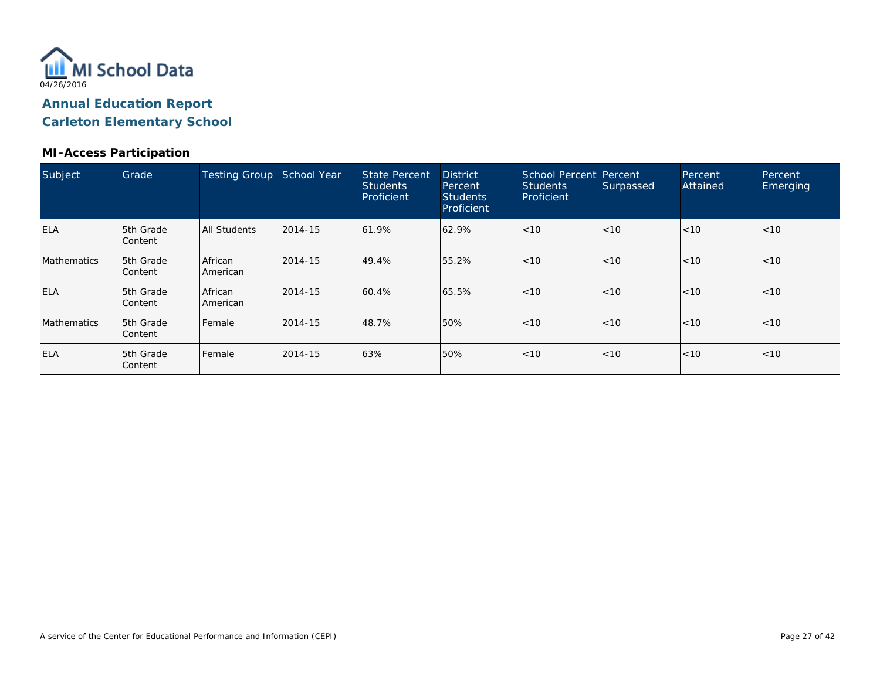

#### **MI-Access Participation**

| Subject            | Grade                       | <b>Testing Group</b>       | School Year | <b>State Percent</b><br><b>Students</b><br>Proficient | <b>District</b><br>Percent<br><b>Students</b><br>Proficient | School Percent Percent<br><b>Students</b><br>Proficient | Surpassed | Percent<br>Attained | Percent<br>Emerging |
|--------------------|-----------------------------|----------------------------|-------------|-------------------------------------------------------|-------------------------------------------------------------|---------------------------------------------------------|-----------|---------------------|---------------------|
| <b>ELA</b>         | 5th Grade<br>Content        | All Students               | 2014-15     | 61.9%                                                 | 62.9%                                                       | < 10                                                    | < 10      | < 10                | < 10                |
| <b>Mathematics</b> | <b>5th Grade</b><br>Content | African<br><b>American</b> | 2014-15     | 49.4%                                                 | 55.2%                                                       | < 10                                                    | < 10      | < 10                | < 10                |
| <b>ELA</b>         | 5th Grade<br>Content        | African<br><b>American</b> | 2014-15     | 60.4%                                                 | 65.5%                                                       | < 10                                                    | < 10      | <10                 | < 10                |
| <b>Mathematics</b> | <b>5th Grade</b><br>Content | Female                     | 2014-15     | 48.7%                                                 | 50%                                                         | < 10                                                    | < 10      | < 10                | < 10                |
| <b>ELA</b>         | 5th Grade<br>Content        | l Female                   | 2014-15     | 63%                                                   | 50%                                                         | < 10                                                    | < 10      | < 10                | < 10                |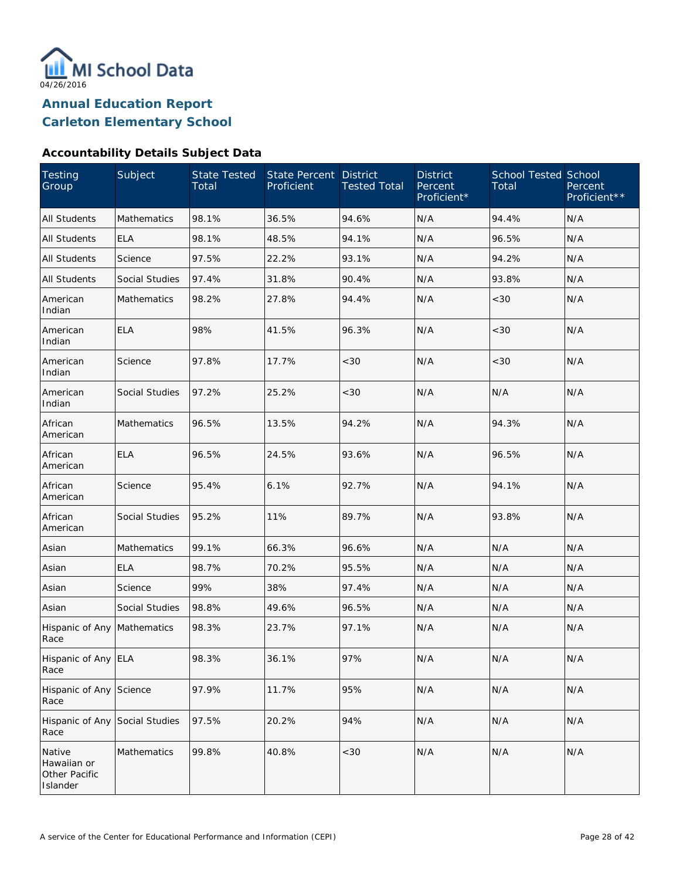

#### **Accountability Details Subject Data**

| <b>Testing</b><br>Group                            | Subject               | <b>State Tested</b><br>Total | <b>State Percent</b><br>Proficient | <b>District</b><br><b>Tested Total</b> | <b>District</b><br>Percent<br>Proficient* | <b>School Tested School</b><br>Total | Percent<br>Proficient** |
|----------------------------------------------------|-----------------------|------------------------------|------------------------------------|----------------------------------------|-------------------------------------------|--------------------------------------|-------------------------|
| <b>All Students</b>                                | <b>Mathematics</b>    | 98.1%                        | 36.5%                              | 94.6%                                  | N/A                                       | 94.4%                                | N/A                     |
| All Students                                       | <b>ELA</b>            | 98.1%                        | 48.5%                              | 94.1%                                  | N/A                                       | 96.5%                                | N/A                     |
| All Students                                       | Science               | 97.5%                        | 22.2%                              | 93.1%                                  | N/A                                       | 94.2%                                | N/A                     |
| <b>All Students</b>                                | <b>Social Studies</b> | 97.4%                        | 31.8%                              | 90.4%                                  | N/A                                       | 93.8%                                | N/A                     |
| American<br>Indian                                 | Mathematics           | 98.2%                        | 27.8%                              | 94.4%                                  | N/A                                       | <30                                  | N/A                     |
| American<br>Indian                                 | <b>ELA</b>            | 98%                          | 41.5%                              | 96.3%                                  | N/A                                       | < 30                                 | N/A                     |
| American<br>Indian                                 | Science               | 97.8%                        | 17.7%                              | <30                                    | N/A                                       | <30                                  | N/A                     |
| American<br>Indian                                 | Social Studies        | 97.2%                        | 25.2%                              | <30                                    | N/A                                       | N/A                                  | N/A                     |
| African<br>American                                | Mathematics           | 96.5%                        | 13.5%                              | 94.2%                                  | N/A                                       | 94.3%                                | N/A                     |
| African<br>American                                | <b>ELA</b>            | 96.5%                        | 24.5%                              | 93.6%                                  | N/A                                       | 96.5%                                | N/A                     |
| African<br>American                                | Science               | 95.4%                        | 6.1%                               | 92.7%                                  | N/A                                       | 94.1%                                | N/A                     |
| African<br>American                                | Social Studies        | 95.2%                        | 11%                                | 89.7%                                  | N/A                                       | 93.8%                                | N/A                     |
| Asian                                              | Mathematics           | 99.1%                        | 66.3%                              | 96.6%                                  | N/A                                       | N/A                                  | N/A                     |
| Asian                                              | <b>ELA</b>            | 98.7%                        | 70.2%                              | 95.5%                                  | N/A                                       | N/A                                  | N/A                     |
| Asian                                              | Science               | 99%                          | 38%                                | 97.4%                                  | N/A                                       | N/A                                  | N/A                     |
| Asian                                              | <b>Social Studies</b> | 98.8%                        | 49.6%                              | 96.5%                                  | N/A                                       | N/A                                  | N/A                     |
| Hispanic of Any<br>Race                            | Mathematics           | 98.3%                        | 23.7%                              | 97.1%                                  | N/A                                       | N/A                                  | N/A                     |
| Hispanic of Any ELA<br>Race                        |                       | 98.3%                        | 36.1%                              | 97%                                    | N/A                                       | N/A                                  | N/A                     |
| Hispanic of Any<br>Race                            | Science               | 97.9%                        | 11.7%                              | 95%                                    | N/A                                       | N/A                                  | N/A                     |
| Hispanic of Any<br>Race                            | Social Studies        | 97.5%                        | 20.2%                              | 94%                                    | N/A                                       | N/A                                  | N/A                     |
| Native<br>Hawaiian or<br>Other Pacific<br>Islander | Mathematics           | 99.8%                        | 40.8%                              | <30                                    | N/A                                       | N/A                                  | N/A                     |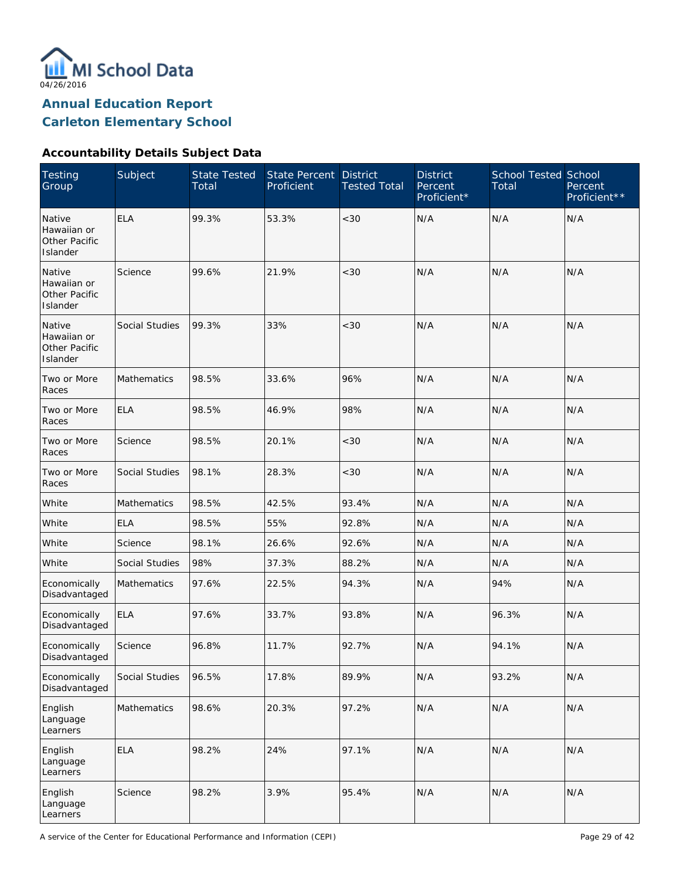

### **Accountability Details Subject Data**

| Testing<br>Group                                   | Subject            | <b>State Tested</b><br>Total | State Percent<br>Proficient | <b>District</b><br><b>Tested Total</b> | <b>District</b><br>Percent<br>Proficient* | <b>School Tested School</b><br>Total | Percent<br>Proficient** |
|----------------------------------------------------|--------------------|------------------------------|-----------------------------|----------------------------------------|-------------------------------------------|--------------------------------------|-------------------------|
| Native<br>Hawaiian or<br>Other Pacific<br>Islander | <b>ELA</b>         | 99.3%                        | 53.3%                       | < 30                                   | N/A                                       | N/A                                  | N/A                     |
| Native<br>Hawaiian or<br>Other Pacific<br>Islander | Science            | 99.6%                        | 21.9%                       | < 30                                   | N/A                                       | N/A                                  | N/A                     |
| Native<br>Hawaiian or<br>Other Pacific<br>Islander | Social Studies     | 99.3%                        | 33%                         | < 30                                   | N/A                                       | N/A                                  | N/A                     |
| Two or More<br>Races                               | Mathematics        | 98.5%                        | 33.6%                       | 96%                                    | N/A                                       | N/A                                  | N/A                     |
| Two or More<br>Races                               | <b>ELA</b>         | 98.5%                        | 46.9%                       | 98%                                    | N/A                                       | N/A                                  | N/A                     |
| Two or More<br>Races                               | Science            | 98.5%                        | 20.1%                       | < 30                                   | N/A                                       | N/A                                  | N/A                     |
| Two or More<br>Races                               | Social Studies     | 98.1%                        | 28.3%                       | $<30$                                  | N/A                                       | N/A                                  | N/A                     |
| White                                              | <b>Mathematics</b> | 98.5%                        | 42.5%                       | 93.4%                                  | N/A                                       | N/A                                  | N/A                     |
| White                                              | <b>ELA</b>         | 98.5%                        | 55%                         | 92.8%                                  | N/A                                       | N/A                                  | N/A                     |
| White                                              | Science            | 98.1%                        | 26.6%                       | 92.6%                                  | N/A                                       | N/A                                  | N/A                     |
| White                                              | Social Studies     | 98%                          | 37.3%                       | 88.2%                                  | N/A                                       | N/A                                  | N/A                     |
| Economically<br>Disadvantaged                      | <b>Mathematics</b> | 97.6%                        | 22.5%                       | 94.3%                                  | N/A                                       | 94%                                  | N/A                     |
| Economically<br>Disadvantaged                      | <b>ELA</b>         | 97.6%                        | 33.7%                       | 93.8%                                  | N/A                                       | 96.3%                                | N/A                     |
| Economically<br>Disadvantaged                      | Science            | 96.8%                        | 11.7%                       | 92.7%                                  | N/A                                       | 94.1%                                | N/A                     |
| Economically<br>Disadvantaged                      | Social Studies     | 96.5%                        | 17.8%                       | 89.9%                                  | N/A                                       | 93.2%                                | N/A                     |
| English<br>Language<br>Learners                    | Mathematics        | 98.6%                        | 20.3%                       | 97.2%                                  | N/A                                       | N/A                                  | N/A                     |
| English<br>Language<br>Learners                    | <b>ELA</b>         | 98.2%                        | 24%                         | 97.1%                                  | N/A                                       | N/A                                  | N/A                     |
| English<br>Language<br>Learners                    | Science            | 98.2%                        | 3.9%                        | 95.4%                                  | N/A                                       | N/A                                  | N/A                     |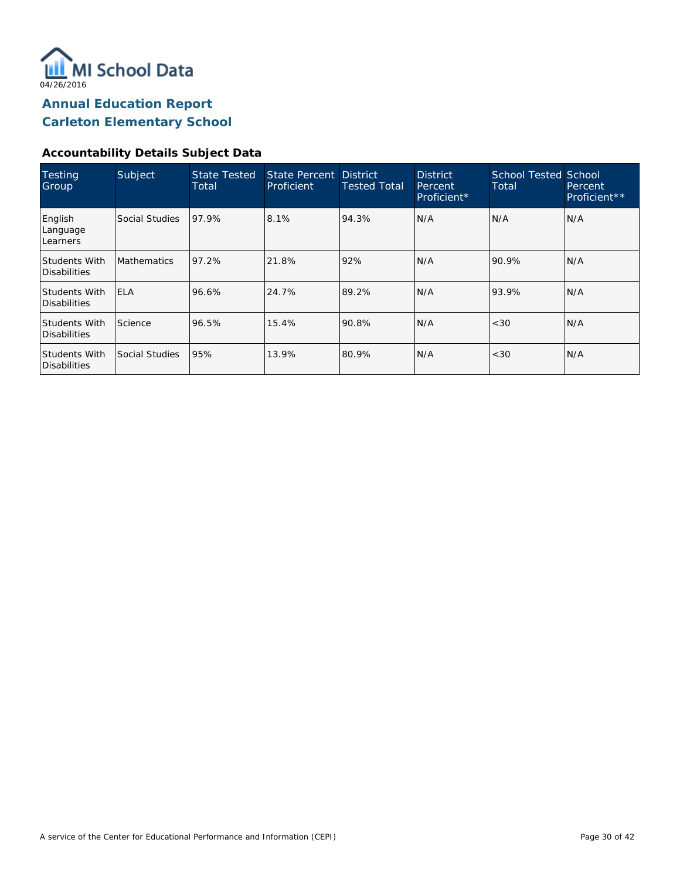

#### **Accountability Details Subject Data**

| <b>Testing</b><br>Group              | Subject            | <b>State Tested</b><br>Total | State Percent District<br>Proficient | <b>Tested Total</b> | <b>District</b><br>Percent<br>Proficient* | <b>School Tested School</b><br>Total | Percent<br>Proficient** |
|--------------------------------------|--------------------|------------------------------|--------------------------------------|---------------------|-------------------------------------------|--------------------------------------|-------------------------|
| English<br>Language<br>Learners      | Social Studies     | 97.9%                        | 8.1%                                 | 94.3%               | N/A                                       | N/A                                  | N/A                     |
| <b>Students With</b><br>Disabilities | <b>Mathematics</b> | 97.2%                        | 21.8%                                | 92%                 | N/A                                       | 90.9%                                | N/A                     |
| Students With<br>Disabilities        | <b>IELA</b>        | 96.6%                        | 24.7%                                | 89.2%               | N/A                                       | 93.9%                                | N/A                     |
| <b>Students With</b><br>Disabilities | Science            | 96.5%                        | 15.4%                                | 90.8%               | N/A                                       | < 30                                 | N/A                     |
| Students With<br>Disabilities        | Social Studies     | 95%                          | 13.9%                                | 80.9%               | N/A                                       | < 30                                 | N/A                     |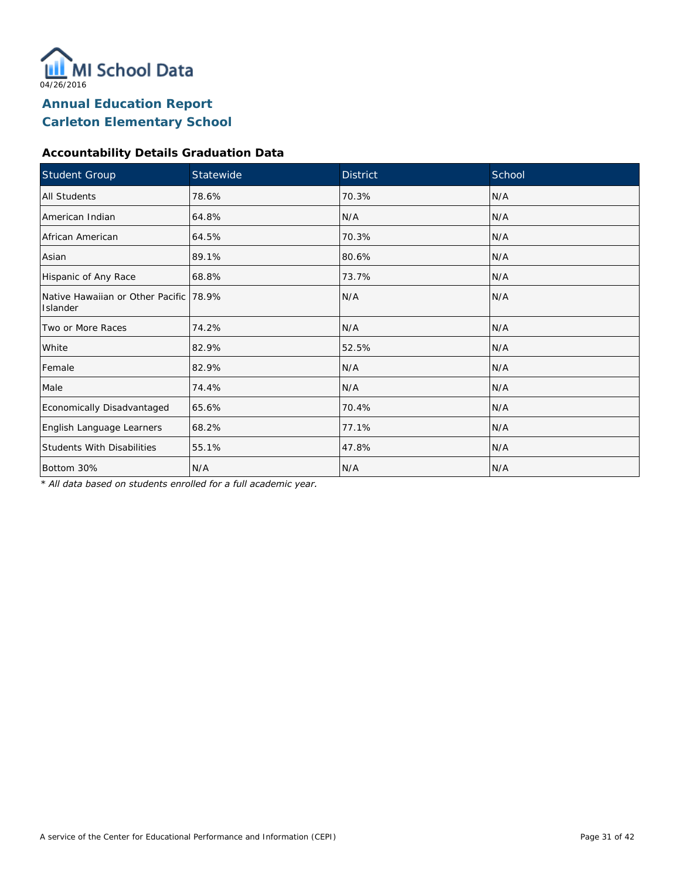

#### **Accountability Details Graduation Data**

| Student Group                                        | Statewide | <b>District</b> | School |
|------------------------------------------------------|-----------|-----------------|--------|
| <b>All Students</b>                                  | 78.6%     | 70.3%           | N/A    |
| American Indian                                      | 64.8%     | N/A             | N/A    |
| African American                                     | 64.5%     | 70.3%           | N/A    |
| Asian                                                | 89.1%     | 80.6%           | N/A    |
| Hispanic of Any Race                                 | 68.8%     | 73.7%           | N/A    |
| Native Hawaiian or Other Pacific   78.9%<br>Islander |           | N/A             | N/A    |
| Two or More Races                                    | 74.2%     | N/A             | N/A    |
| White                                                | 82.9%     | 52.5%           | N/A    |
| Female                                               | 82.9%     | N/A             | N/A    |
| Male                                                 | 74.4%     | N/A             | N/A    |
| Economically Disadvantaged                           | 65.6%     | 70.4%           | N/A    |
| English Language Learners                            | 68.2%     | 77.1%           | N/A    |
| <b>Students With Disabilities</b>                    | 55.1%     | 47.8%           | N/A    |
| Bottom 30%                                           | N/A       | N/A             | N/A    |

*\* All data based on students enrolled for a full academic year.*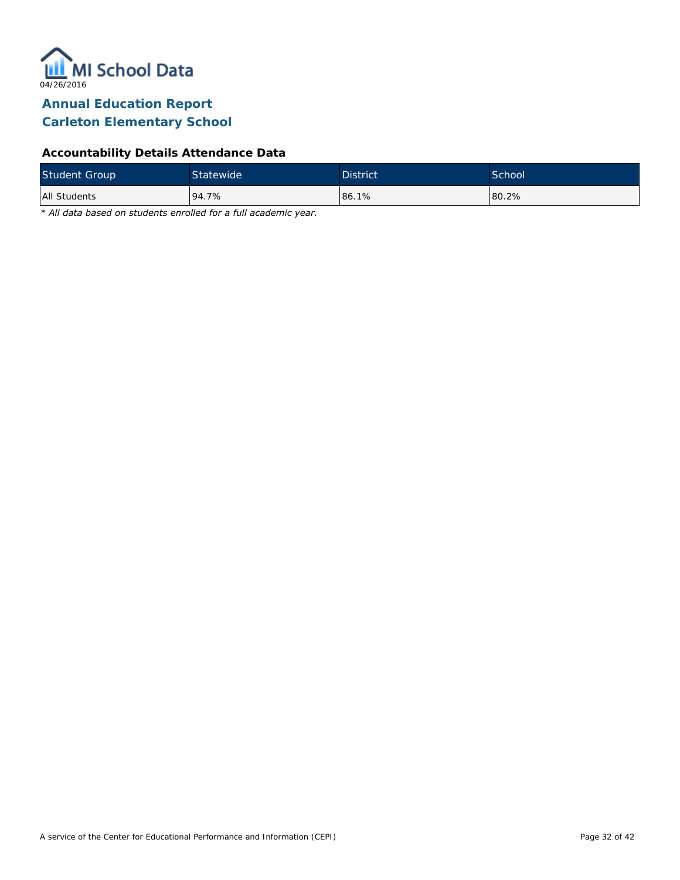

### **Accountability Details Attendance Data**

| <b>Student Group</b> | Statewide | <b>District</b> | School <sup>'</sup> |
|----------------------|-----------|-----------------|---------------------|
| All Students         | 94.7%     | 86.1%           | 80.2%               |

*\* All data based on students enrolled for a full academic year.*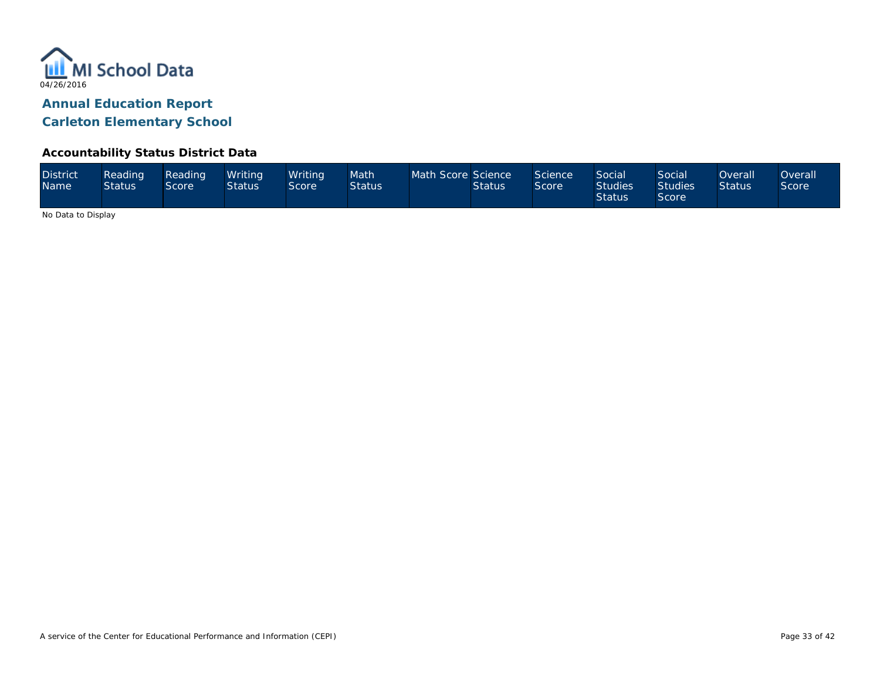

#### **Accountability Status District Data**

| <b>District</b><br><b>Name</b> | Reading<br><b>Status</b> | Reading<br>Score' | Writina<br><b>Status</b> | Writina <sup>1</sup><br>Score | Math<br><b>Status</b> | Math Score Science | <b>Status</b> | Science<br><b>Score</b> | <b>Social</b><br><b>Studies</b><br><b>Status</b> | Social<br><b>Studies</b><br>Score | <b>Overall</b><br><b>Status</b> | )verall<br><b>Score</b> |
|--------------------------------|--------------------------|-------------------|--------------------------|-------------------------------|-----------------------|--------------------|---------------|-------------------------|--------------------------------------------------|-----------------------------------|---------------------------------|-------------------------|
|--------------------------------|--------------------------|-------------------|--------------------------|-------------------------------|-----------------------|--------------------|---------------|-------------------------|--------------------------------------------------|-----------------------------------|---------------------------------|-------------------------|

No Data to Display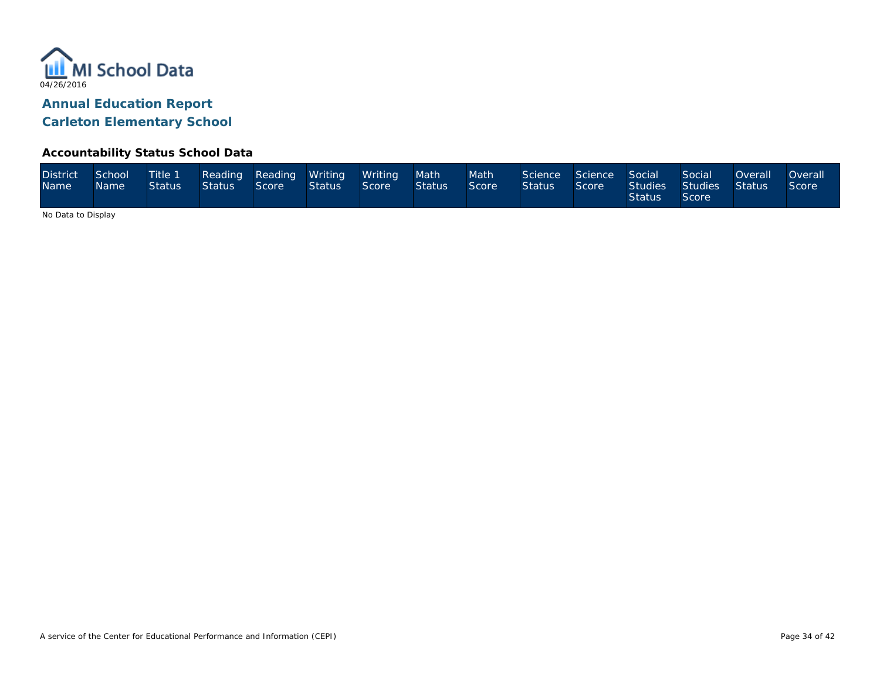

#### **Accountability Status School Data**

| <b>District</b><br>Name <sup>1</sup> | School<br>Name | Status | Status Score |  | Title 1 Reading Reading Writing Writing<br><b>Status</b> | Score | Math<br><b>Status</b> | Math <sup>1</sup><br>Score | Science Science Social<br><b>Status</b> | Score | <b>Status</b> | Social<br>Studies Studies Status<br>Score | Overall | <b>Overall</b><br>Score |
|--------------------------------------|----------------|--------|--------------|--|----------------------------------------------------------|-------|-----------------------|----------------------------|-----------------------------------------|-------|---------------|-------------------------------------------|---------|-------------------------|
|--------------------------------------|----------------|--------|--------------|--|----------------------------------------------------------|-------|-----------------------|----------------------------|-----------------------------------------|-------|---------------|-------------------------------------------|---------|-------------------------|

No Data to Display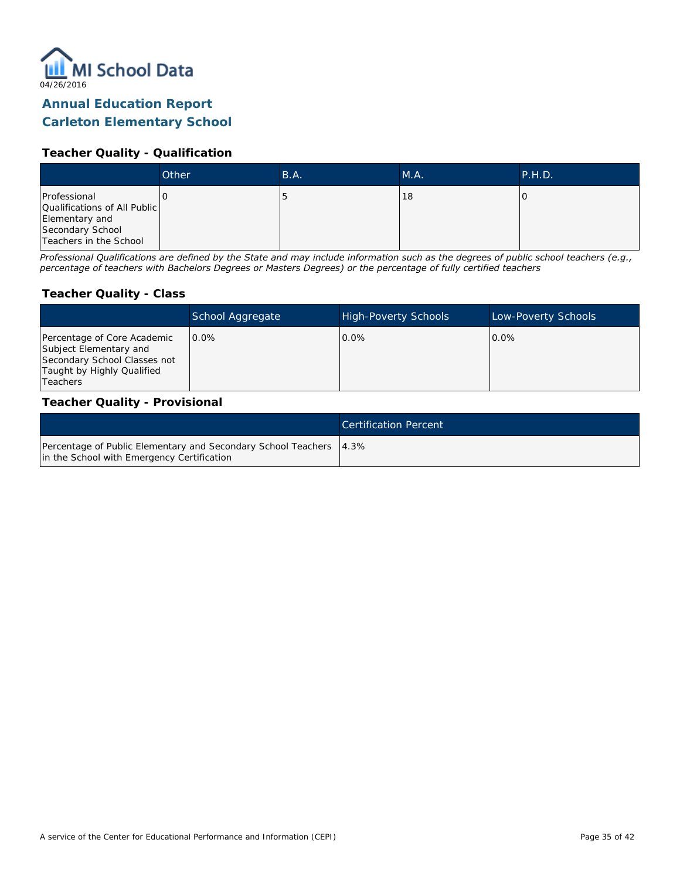

# **Annual Education Report**

### **Carleton Elementary School**

#### **Teacher Quality - Qualification**

|                                                                                                              | Other | B.A. | MA. | P.H.D. |
|--------------------------------------------------------------------------------------------------------------|-------|------|-----|--------|
| Professional<br>Qualifications of All Public<br>Elementary and<br>Secondary School<br>Teachers in the School |       |      | 18  |        |

*Professional Qualifications are defined by the State and may include information such as the degrees of public school teachers (e.g., percentage of teachers with Bachelors Degrees or Masters Degrees) or the percentage of fully certified teachers*

#### **Teacher Quality - Class**

|                                                                                                                                   | School Aggregate | <b>High-Poverty Schools</b> | Low-Poverty Schools |
|-----------------------------------------------------------------------------------------------------------------------------------|------------------|-----------------------------|---------------------|
| Percentage of Core Academic<br>Subject Elementary and<br>Secondary School Classes not<br>Taught by Highly Qualified<br>l Teachers | $0.0\%$          | $0.0\%$                     | $0.0\%$             |

#### **Teacher Quality - Provisional**

|                                                                                                                    | <b>Certification Percent</b> |
|--------------------------------------------------------------------------------------------------------------------|------------------------------|
| Percentage of Public Elementary and Secondary School Teachers   4.3%<br>in the School with Emergency Certification |                              |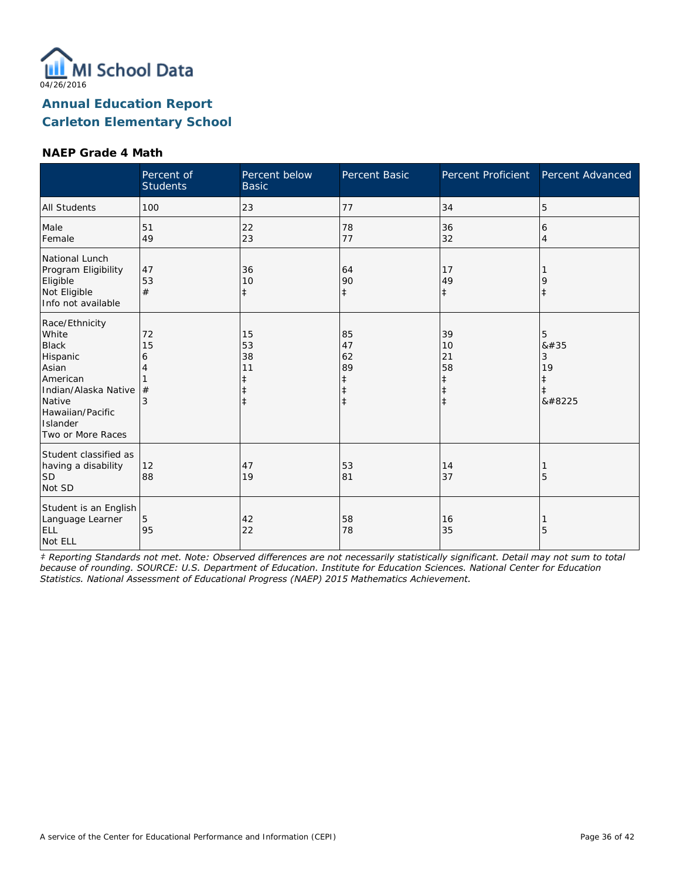

#### **NAEP Grade 4 Math**

|                                                                                                                                                                 | Percent of<br><b>Students</b> | Percent below<br><b>Basic</b>                    | Percent Basic                                         | Percent Proficient                                             | Percent Advanced               |
|-----------------------------------------------------------------------------------------------------------------------------------------------------------------|-------------------------------|--------------------------------------------------|-------------------------------------------------------|----------------------------------------------------------------|--------------------------------|
| <b>All Students</b>                                                                                                                                             | 100                           | 23                                               | 77                                                    | 34                                                             | 5                              |
| Male<br>Female                                                                                                                                                  | 51<br>49                      | 22<br>23                                         | 78<br>77                                              | 36<br>32                                                       | 6<br>$\overline{4}$            |
| National Lunch<br>Program Eligibility<br>Eligible<br>Not Eligible<br>Info not available                                                                         | 47<br>53<br>#                 | 36<br>10<br>$\ddagger$                           | 64<br>90<br>$\ddagger$                                | 17<br>49<br>$\ddagger$                                         | 9<br>$\ddagger$                |
| Race/Ethnicity<br>White<br><b>Black</b><br>Hispanic<br>Asian<br>American<br>Indian/Alaska Native<br>Native<br>Hawaiian/Pacific<br>Islander<br>Two or More Races | 72<br>15<br>6<br>4<br>#<br>3  | 15<br>53<br>38<br>11<br>$\ddagger$<br>$\ddagger$ | 85<br>47<br>62<br>89<br>$\ddagger$<br>ŧ<br>$\ddagger$ | 39<br>10<br>21<br>58<br>$\ddagger$<br>$\ddagger$<br>$\ddagger$ | 5<br>8#35<br>3<br>19<br>‡<br>‡ |
| Student classified as<br>having a disability<br><b>SD</b><br>Not SD                                                                                             | 12<br>88                      | 47<br>19                                         | 53<br>81                                              | 14<br>37                                                       | 5                              |
| Student is an English<br>Language Learner<br><b>ELL</b><br>Not ELL                                                                                              | 5<br>95                       | 42<br>22                                         | 58<br>78                                              | 16<br>35                                                       | 5                              |

*‡ Reporting Standards not met. Note: Observed differences are not necessarily statistically significant. Detail may not sum to total because of rounding. SOURCE: U.S. Department of Education. Institute for Education Sciences. National Center for Education Statistics. National Assessment of Educational Progress (NAEP) 2015 Mathematics Achievement.*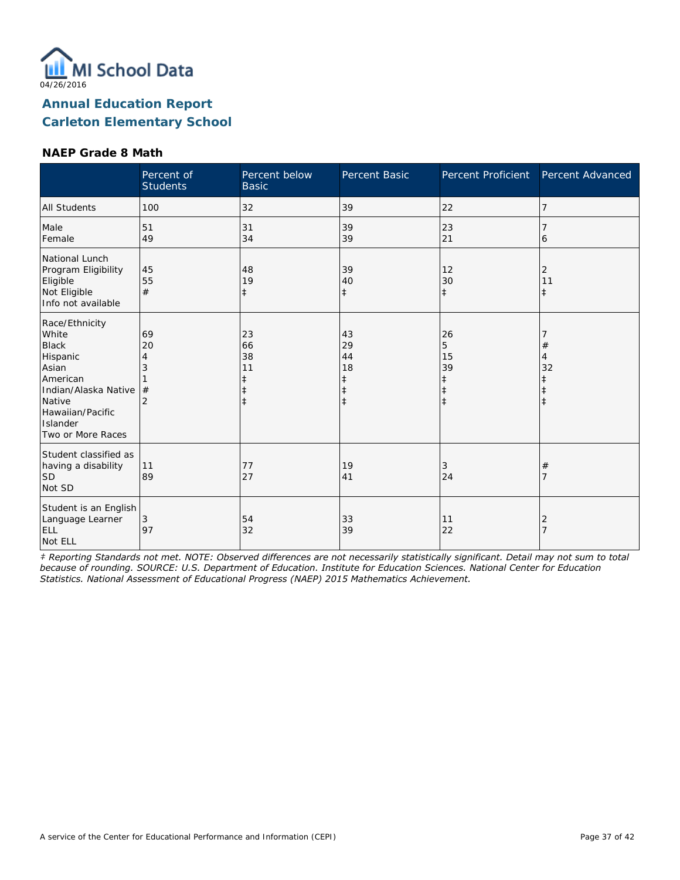

#### **NAEP Grade 8 Math**

|                                                                                                                                                                 | Percent of<br><b>Students</b>             | Percent below<br><b>Basic</b>                    | Percent Basic                                | Percent Proficient                     | Percent Advanced      |
|-----------------------------------------------------------------------------------------------------------------------------------------------------------------|-------------------------------------------|--------------------------------------------------|----------------------------------------------|----------------------------------------|-----------------------|
| <b>All Students</b>                                                                                                                                             | 100                                       | 32                                               | 39                                           | 22                                     | 7                     |
| Male<br>Female                                                                                                                                                  | 51<br>49                                  | 31<br>34                                         | 39<br>39                                     | 23<br>21                               | 6                     |
| National Lunch<br>Program Eligibility<br>Eligible<br>Not Eligible<br>Info not available                                                                         | 45<br>55<br>#                             | 48<br>19<br>$\ddagger$                           | 39<br>40<br>$\ddagger$                       | 12<br>30<br>$\ddagger$                 | 2<br>11<br>$\ddagger$ |
| Race/Ethnicity<br>White<br><b>Black</b><br>Hispanic<br>Asian<br>American<br>Indian/Alaska Native<br>Native<br>Hawaiian/Pacific<br>Islander<br>Two or More Races | 69<br>20<br>4<br>3<br>#<br>$\overline{2}$ | 23<br>66<br>38<br>11<br>ŧ<br>$\ddagger$<br>$\pm$ | 43<br>29<br>44<br>18<br>ŧ<br>ŧ<br>$\ddagger$ | 26<br>5<br>15<br>39<br>ŧ<br>$\ddagger$ | #<br>4<br>32          |
| Student classified as<br>having a disability<br>SD <sup>1</sup><br>Not SD                                                                                       | 11<br>89                                  | 77<br>27                                         | 19<br>41                                     | 3<br>24                                | #                     |
| Student is an English<br>Language Learner<br><b>ELL</b><br>Not ELL                                                                                              | 3<br>97                                   | 54<br>32                                         | 33<br>39                                     | 11<br>22                               | 2                     |

*‡ Reporting Standards not met. NOTE: Observed differences are not necessarily statistically significant. Detail may not sum to total because of rounding. SOURCE: U.S. Department of Education. Institute for Education Sciences. National Center for Education Statistics. National Assessment of Educational Progress (NAEP) 2015 Mathematics Achievement.*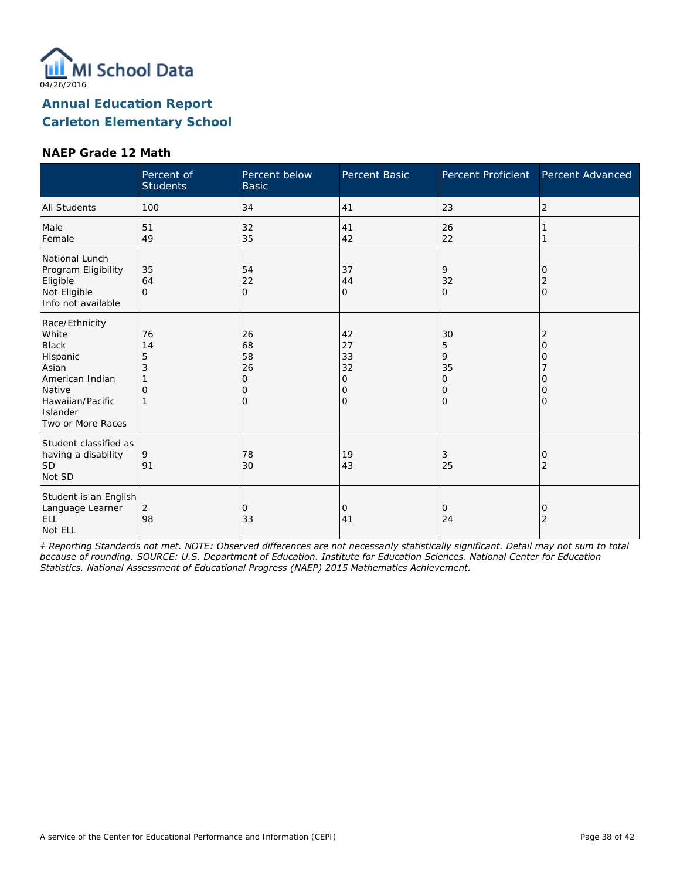

#### **NAEP Grade 12 Math**

|                                                                                                                                                | Percent of<br><b>Students</b> | Percent below<br><b>Basic</b>              | Percent Basic                       | Percent Proficient                                   | Percent Advanced           |
|------------------------------------------------------------------------------------------------------------------------------------------------|-------------------------------|--------------------------------------------|-------------------------------------|------------------------------------------------------|----------------------------|
| <b>All Students</b>                                                                                                                            | 100                           | 34                                         | 41                                  | 23                                                   | 2                          |
| Male<br>Female                                                                                                                                 | 51<br>49                      | 32<br>35                                   | 41<br>42                            | 26<br>22                                             |                            |
| National Lunch<br>Program Eligibility<br>Eligible<br>Not Eligible<br>Info not available                                                        | 35<br>64<br>$\Omega$          | 54<br>22<br>$\overline{O}$                 | 37<br>44<br>0                       | 9<br>32<br>$\Omega$                                  | 0<br>2<br>$\mathbf{O}$     |
| Race/Ethnicity<br>White<br><b>Black</b><br>Hispanic<br>Asian<br>American Indian<br>Native<br>Hawaiian/Pacific<br>Islander<br>Two or More Races | 76<br>14<br>5<br>3<br>O       | 26<br>68<br>58<br>26<br>Ω<br>O<br>$\Omega$ | 42<br>27<br>33<br>32<br>0<br>0<br>O | 30<br>5<br>9<br>35<br>$\circ$<br>$\circ$<br>$\Omega$ | 2<br>O<br>Ω<br>Ο<br>Ω<br>0 |
| Student classified as<br>having a disability<br><b>SD</b><br>Not SD                                                                            | 9<br>91                       | 78<br>30                                   | 19<br>43                            | 3<br>25                                              | 0<br>2                     |
| Student is an English<br>Language Learner<br>ELL<br>Not ELL                                                                                    | $\overline{2}$<br>98          | 0<br>33                                    | 0<br>41                             | 0<br>24                                              | 0<br>2                     |

*‡ Reporting Standards not met. NOTE: Observed differences are not necessarily statistically significant. Detail may not sum to total because of rounding. SOURCE: U.S. Department of Education. Institute for Education Sciences. National Center for Education Statistics. National Assessment of Educational Progress (NAEP) 2015 Mathematics Achievement.*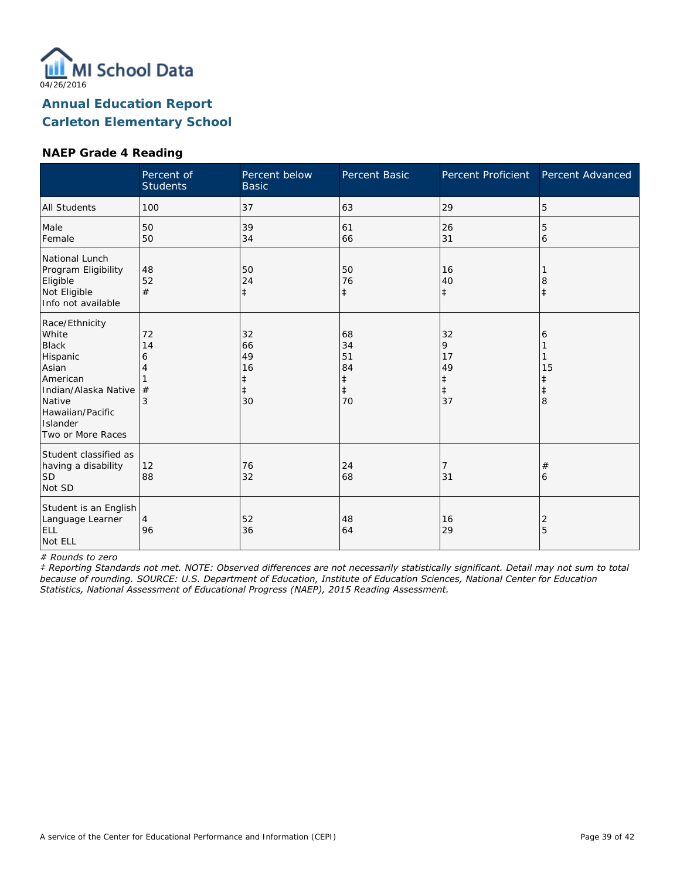

#### **NAEP Grade 4 Reading**

|                                                                                                                                                                 | Percent of<br><b>Students</b> | Percent below<br><b>Basic</b>                 | Percent Basic                                          | Percent Proficient                                    | Percent Advanced  |
|-----------------------------------------------------------------------------------------------------------------------------------------------------------------|-------------------------------|-----------------------------------------------|--------------------------------------------------------|-------------------------------------------------------|-------------------|
| <b>All Students</b>                                                                                                                                             | 100                           | 37                                            | 63                                                     | 29                                                    | 5                 |
| Male<br>Female                                                                                                                                                  | 50<br>50                      | 39<br>34                                      | 61<br>66                                               | 26<br>31                                              | 5<br>6            |
| National Lunch<br>Program Eligibility<br>Eligible<br>Not Eligible<br>Info not available                                                                         | 48<br>52<br>#                 | 50<br>24<br>$\ddagger$                        | 50<br>76<br>$\ddagger$                                 | 16<br>40<br>$\ddagger$                                | 8<br>$\ddagger$   |
| Race/Ethnicity<br>White<br><b>Black</b><br>Hispanic<br>Asian<br>American<br>Indian/Alaska Native<br>Native<br>Hawaiian/Pacific<br>Islander<br>Two or More Races | 72<br>14<br>6<br>4<br>#<br>3  | 32<br>66<br>49<br>16<br>ŧ<br>$\ddagger$<br>30 | 68<br>34<br>51<br>84<br>$\ddagger$<br>$\ddagger$<br>70 | 32<br>9<br>17<br>49<br>$\ddagger$<br>$\ddagger$<br>37 | 6<br>15<br>ŧ<br>8 |
| Student classified as<br>having a disability<br>lsd<br>Not SD                                                                                                   | 12<br>88                      | 76<br>32                                      | 24<br>68                                               | 31                                                    | #<br>6            |
| Student is an English<br>Language Learner<br>ELL<br>Not ELL                                                                                                     | $\overline{4}$<br>96          | 52<br>36                                      | 48<br>64                                               | 16<br>29                                              | 2<br>5            |

*# Rounds to zero*

*‡ Reporting Standards not met. NOTE: Observed differences are not necessarily statistically significant. Detail may not sum to total because of rounding. SOURCE: U.S. Department of Education, Institute of Education Sciences, National Center for Education Statistics, National Assessment of Educational Progress (NAEP), 2015 Reading Assessment.*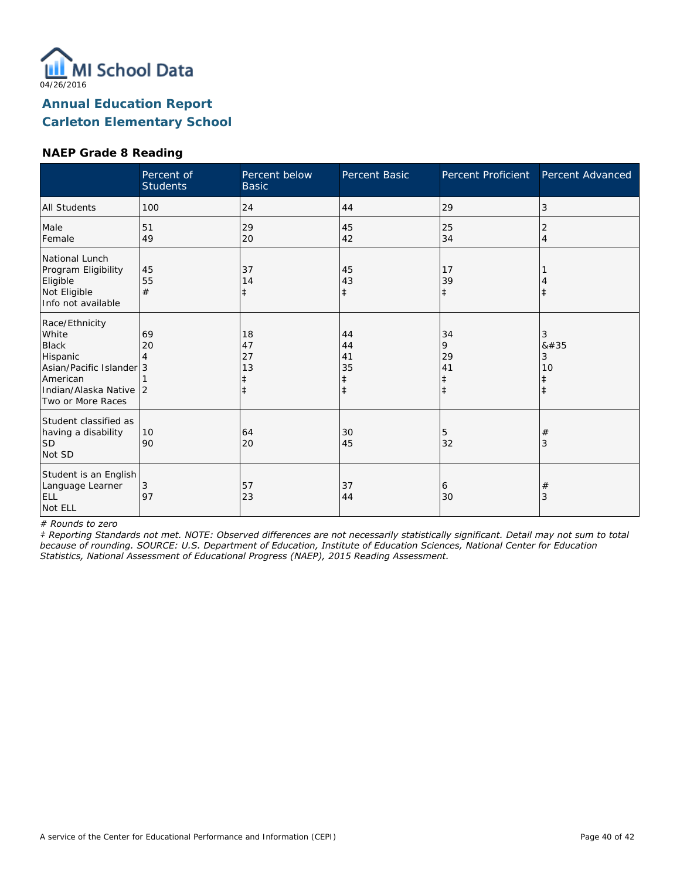

### **NAEP Grade 8 Reading**

|                                                                                                                                            | Percent of<br><b>Students</b> | Percent below<br><b>Basic</b>      | Percent Basic                           | Percent Proficient                     | Percent Advanced  |
|--------------------------------------------------------------------------------------------------------------------------------------------|-------------------------------|------------------------------------|-----------------------------------------|----------------------------------------|-------------------|
| <b>All Students</b>                                                                                                                        | 100                           | 24                                 | 44                                      | 29                                     | 3                 |
| Male<br>Female                                                                                                                             | 51<br>49                      | 29<br>20                           | 45<br>42                                | 25<br>34                               | 2<br>4            |
| National Lunch<br>Program Eligibility<br>Eligible<br>Not Eligible<br>Info not available                                                    | 45<br>55<br>#                 | 37<br>14<br>ŧ                      | 45<br>43<br>$\ddagger$                  | 17<br>39<br>$\ddagger$                 |                   |
| Race/Ethnicity<br>White<br><b>Black</b><br>Hispanic<br>Asian/Pacific Islander 3<br>American<br>Indian/Alaska Native 2<br>Two or More Races | 69<br>20                      | 18<br>47<br>27<br>13<br>$\ddagger$ | 44<br>44<br>41<br>35<br>ŧ<br>$\ddagger$ | 34<br>9<br>29<br>41<br>ŧ<br>$\ddagger$ | 3<br>#<br>3<br>10 |
| Student classified as<br>having a disability<br><b>SD</b><br>Not SD                                                                        | 10<br>90                      | 64<br>20                           | 30<br>45                                | 5<br>32                                | $^{\#}$<br>3      |
| Student is an English<br>Language Learner<br><b>ELL</b><br>Not ELL                                                                         | 3<br>97                       | 57<br>23                           | 37<br>44                                | 6<br>30                                | $^{\#}$<br>3      |

*# Rounds to zero*

*‡ Reporting Standards not met. NOTE: Observed differences are not necessarily statistically significant. Detail may not sum to total because of rounding. SOURCE: U.S. Department of Education, Institute of Education Sciences, National Center for Education Statistics, National Assessment of Educational Progress (NAEP), 2015 Reading Assessment.*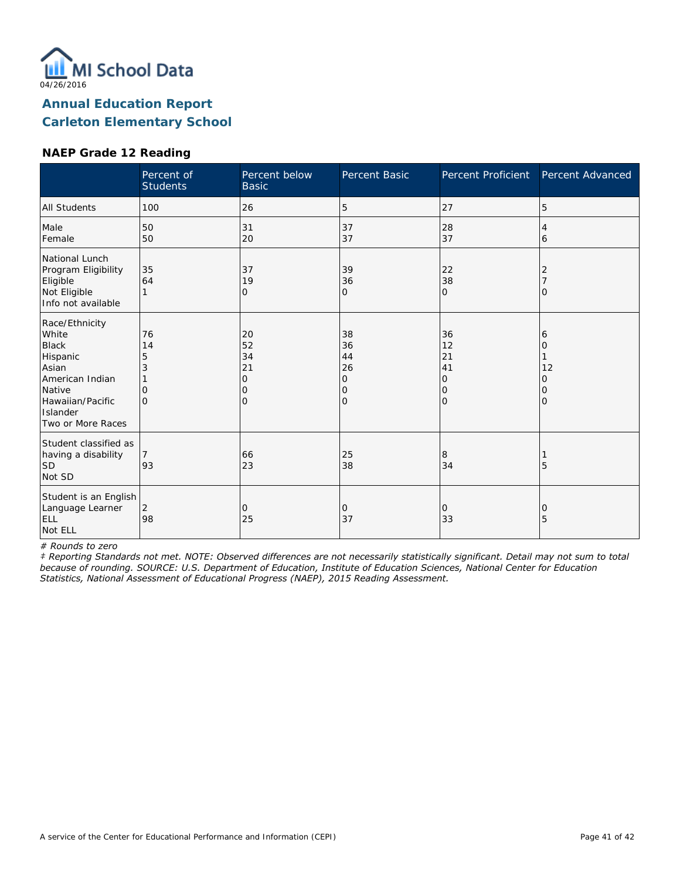

#### **NAEP Grade 12 Reading**

|                                                                                                                                                | Percent of<br><b>Students</b>              | Percent below<br><b>Basic</b>                    | Percent Basic                       | Percent Proficient                     | Percent Advanced                   |
|------------------------------------------------------------------------------------------------------------------------------------------------|--------------------------------------------|--------------------------------------------------|-------------------------------------|----------------------------------------|------------------------------------|
| <b>All Students</b>                                                                                                                            | 100                                        | 26                                               | 5                                   | 27                                     | 5                                  |
| Male<br>Female                                                                                                                                 | 50<br>50                                   | 31<br>20                                         | 37<br>37                            | 28<br>37                               | 4<br>6                             |
| National Lunch<br>Program Eligibility<br>Eligible<br>Not Eligible<br>Info not available                                                        | 35<br>64                                   | 37<br>19<br>0                                    | 39<br>36<br>O                       | 22<br>38<br>$\mathbf{O}$               | Ω                                  |
| Race/Ethnicity<br>White<br><b>Black</b><br>Hispanic<br>Asian<br>American Indian<br>Native<br>Hawaiian/Pacific<br>Islander<br>Two or More Races | 76<br>14<br>5<br>3<br>$\Omega$<br>$\Omega$ | 20<br>52<br>34<br>21<br>$\circ$<br>$\Omega$<br>0 | 38<br>36<br>44<br>26<br>0<br>0<br>0 | 36<br>12<br>21<br>41<br>0<br>10<br>l O | 6<br>Ω<br>12<br>Ω<br>0<br>$\Omega$ |
| Student classified as<br>having a disability<br><b>SD</b><br>Not SD                                                                            | 93                                         | 66<br>23                                         | 25<br>38                            | 8<br>34                                | 5                                  |
| Student is an English<br>Language Learner<br>ELL<br>Not ELL                                                                                    | 2<br>98                                    | 0<br>25                                          | 0<br>37                             | 0<br>33                                | Ω<br>5                             |

*# Rounds to zero*

*‡ Reporting Standards not met. NOTE: Observed differences are not necessarily statistically significant. Detail may not sum to total because of rounding. SOURCE: U.S. Department of Education, Institute of Education Sciences, National Center for Education Statistics, National Assessment of Educational Progress (NAEP), 2015 Reading Assessment.*